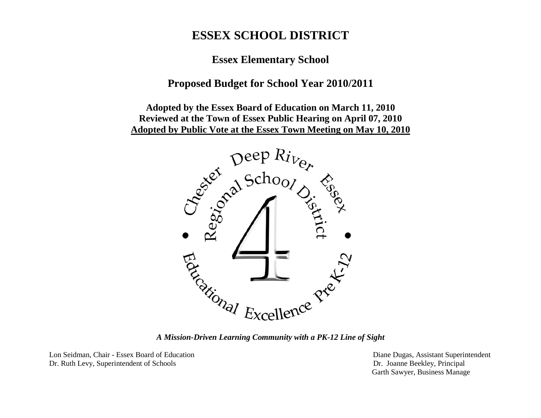# **ESSEX SCHOOL DISTRICT**

**Essex Elementary School**

# **Proposed Budget for School Year 2010/2011**

**Adopted by the Essex Board of Education on March 11, 2010 Reviewed at the Town of Essex Public Hearing on April 07, 2010**



*A Mission-Driven Learning Community with a PK-12 Line of Sight*

Lon Seidman, Chair - Essex Board of Education Diane Dugas, Assistant Superintendent Dr. Ruth Levy, Superintendent of Schools Dr. Joanne Beekley, Principal

Garth Sawyer, Business Manage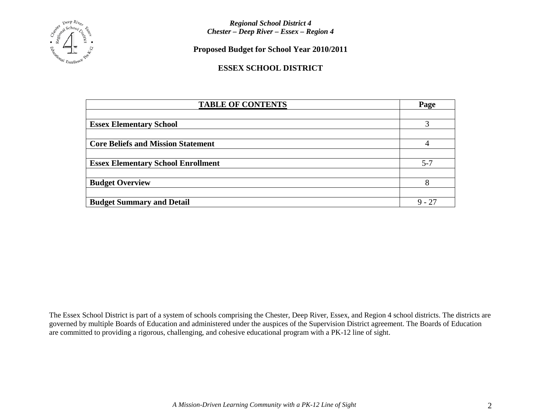

**Proposed Budget for School Year 2010/2011**

### **ESSEX SCHOOL DISTRICT**

| <b>TABLE OF CONTENTS</b>                  | Page     |
|-------------------------------------------|----------|
|                                           |          |
| <b>Essex Elementary School</b>            |          |
|                                           |          |
| <b>Core Beliefs and Mission Statement</b> |          |
|                                           |          |
| <b>Essex Elementary School Enrollment</b> | $5 - 7$  |
|                                           |          |
| <b>Budget Overview</b>                    | 8        |
|                                           |          |
| <b>Budget Summary and Detail</b>          | $9 - 27$ |

The Essex School District is part of a system of schools comprising the Chester, Deep River, Essex, and Region 4 school districts. The districts are governed by multiple Boards of Education and administered under the auspices of the Supervision District agreement. The Boards of Education are committed to providing a rigorous, challenging, and cohesive educational program with a PK-12 line of sight.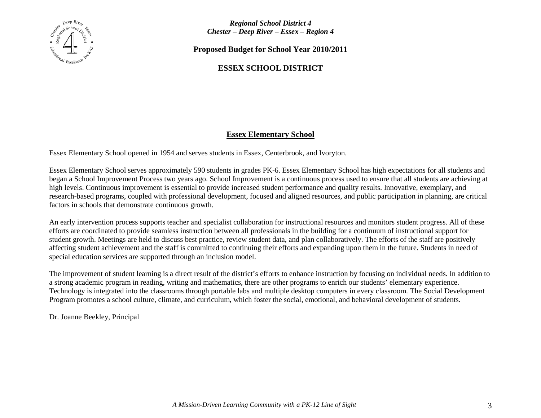

**Proposed Budget for School Year 2010/2011**

## **ESSEX SCHOOL DISTRICT**

### **Essex Elementary School**

Essex Elementary School opened in 1954 and serves students in Essex, Centerbrook, and Ivoryton.

Essex Elementary School serves approximately 590 students in grades PK-6. Essex Elementary School has high expectations for all students and began a School Improvement Process two years ago. School Improvement is a continuous process used to ensure that all students are achieving at high levels. Continuous improvement is essential to provide increased student performance and quality results. Innovative, exemplary, and research-based programs, coupled with professional development, focused and aligned resources, and public participation in planning, are critical factors in schools that demonstrate continuous growth.

An early intervention process supports teacher and specialist collaboration for instructional resources and monitors student progress. All of these efforts are coordinated to provide seamless instruction between all professionals in the building for a continuum of instructional support for student growth. Meetings are held to discuss best practice, review student data, and plan collaboratively. The efforts of the staff are positively affecting student achievement and the staff is committed to continuing their efforts and expanding upon them in the future. Students in need of special education services are supported through an inclusion model.

The improvement of student learning is a direct result of the district's efforts to enhance instruction by focusing on individual needs. In addition to a strong academic program in reading, writing and mathematics, there are other programs to enrich our students' elementary experience. Technology is integrated into the classrooms through portable labs and multiple desktop computers in every classroom. The Social Development Program promotes a school culture, climate, and curriculum, which foster the social, emotional, and behavioral development of students.

Dr. Joanne Beekley, Principal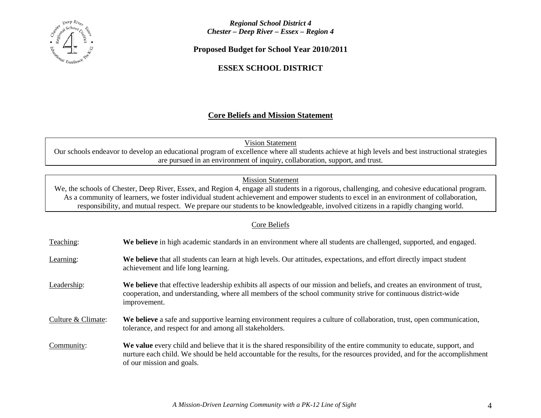

**Proposed Budget for School Year 2010/2011**

### **ESSEX SCHOOL DISTRICT**

### **Core Beliefs and Mission Statement**

Our schools endeavor to develop an educational program of excellence where all students achieve at high levels and best instructional strategies are pursued in an environment of inquiry, collaboration, support, and trust. Vision Statement

### Mission Statement

We, the schools of Chester, Deep River, Essex, and Region 4, engage all students in a rigorous, challenging, and cohesive educational program. As a community of learners, we foster individual student achievement and empower students to excel in an environment of collaboration, responsibility, and mutual respect. We prepare our students to be knowledgeable, involved citizens in a rapidly changing world.

### Core Beliefs

Teaching: **We believe** in high academic standards in an environment where all students are challenged, supported, and engaged. Learning: **We believe** that all students can learn at high levels. Our attitudes, expectations, and effort directly impact student achievement and life long learning. Leadership: **We believe** that effective leadership exhibits all aspects of our mission and beliefs, and creates an environment of trust, cooperation, and understanding, where all members of the school community strive for continuous district-wide improvement. Culture & Climate: **We believe** a safe and supportive learning environment requires a culture of collaboration, trust, open communication, tolerance, and respect for and among all stakeholders. Community: **We value** every child and believe that it is the shared responsibility of the entire community to educate, support, and nurture each child. We should be held accountable for the results, for the resources provided, and for the accomplishment of our mission and goals.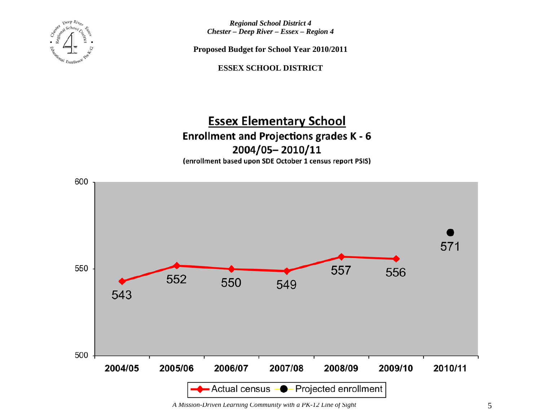

**Proposed Budget for School Year 2010/2011**

**ESSEX SCHOOL DISTRICT**

# **Essex Elementary School Enrollment and Projections grades K - 6** 2004/05-2010/11

(enrollment based upon SDE October 1 census report PSIS)



*A Mission-Driven Learning Community with a PK-12 Line of Sight* 5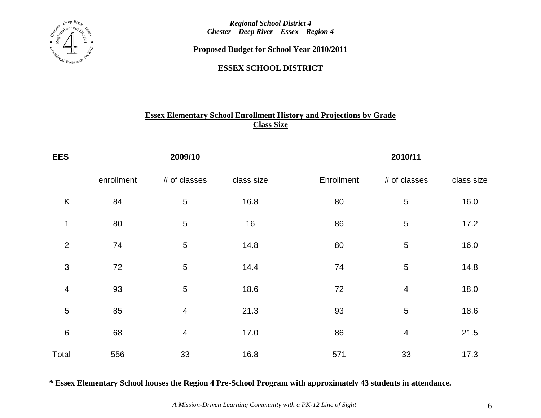

**Proposed Budget for School Year 2010/2011**

**ESSEX SCHOOL DISTRICT**

# **Essex Elementary School Enrollment History and Projections by Grade Class Size**

| <b>EES</b>     |            | 2009/10        |            | 2010/11    |                |            |  |  |  |  |
|----------------|------------|----------------|------------|------------|----------------|------------|--|--|--|--|
|                | enrollment | # of classes   | class size | Enrollment | # of classes   | class size |  |  |  |  |
| $\sf K$        | 84         | $\sqrt{5}$     | 16.8       | 80         | 5              | 16.0       |  |  |  |  |
| 1              | 80         | $\sqrt{5}$     | 16         | 86         | 5              | 17.2       |  |  |  |  |
| $\overline{2}$ | 74         | $\sqrt{5}$     | 14.8       | 80         | 5              | 16.0       |  |  |  |  |
| $\sqrt{3}$     | 72         | 5              | 14.4       | 74         | 5              | 14.8       |  |  |  |  |
| $\overline{4}$ | 93         | $\sqrt{5}$     | 18.6       | 72         | 4              | 18.0       |  |  |  |  |
| $\sqrt{5}$     | 85         | $\overline{4}$ | 21.3       | 93         | 5              | 18.6       |  |  |  |  |
| $\,6\,$        | 68         | $\overline{4}$ | 17.0       | 86         | $\overline{4}$ | 21.5       |  |  |  |  |
| Total          | 556        | 33             | 16.8       | 571        | 33             | 17.3       |  |  |  |  |

**\* Essex Elementary School houses the Region 4 Pre-School Program with approximately 43 students in attendance.**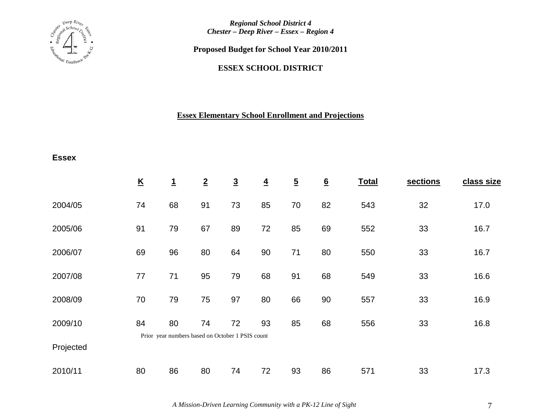

**Proposed Budget for School Year 2010/2011**

### **ESSEX SCHOOL DISTRICT**

# **Essex Elementary School Enrollment and Projections**

### **Essex**

|           | $\underline{\mathsf{K}}$ | <u>1</u>                                               | $\overline{2}$ | $\overline{3}$ | $\overline{4}$ | $\overline{5}$ | $\underline{6}$ | <b>Total</b> | sections | class size |
|-----------|--------------------------|--------------------------------------------------------|----------------|----------------|----------------|----------------|-----------------|--------------|----------|------------|
| 2004/05   | 74                       | 68                                                     | 91             | 73             | 85             | 70             | 82              | 543          | 32       | 17.0       |
| 2005/06   | 91                       | 79                                                     | 67             | 89             | 72             | 85             | 69              | 552          | 33       | 16.7       |
| 2006/07   | 69                       | 96                                                     | 80             | 64             | 90             | 71             | 80              | 550          | 33       | 16.7       |
| 2007/08   | 77                       | 71                                                     | 95             | 79             | 68             | 91             | 68              | 549          | 33       | 16.6       |
| 2008/09   | 70                       | 79                                                     | 75             | 97             | 80             | 66             | 90              | 557          | 33       | 16.9       |
| 2009/10   | 84                       | 80<br>Prior year numbers based on October 1 PSIS count | 74             | 72             | 93             | 85             | 68              | 556          | 33       | 16.8       |
| Projected |                          |                                                        |                |                |                |                |                 |              |          |            |
| 2010/11   | 80                       | 86                                                     | 80             | 74             | 72             | 93             | 86              | 571          | 33       | 17.3       |

*A Mission-Driven Learning Community with a PK-12 Line of Sight* 7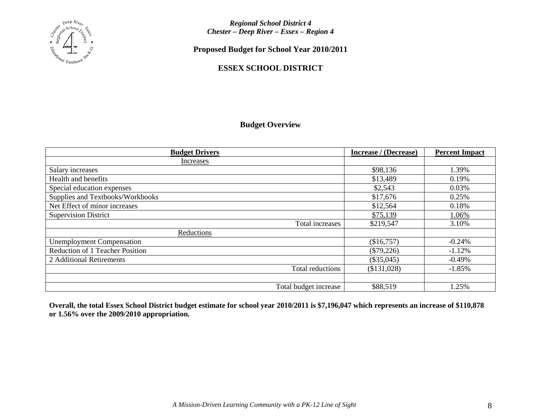

**Proposed Budget for School Year 2010/2011**

### **ESSEX SCHOOL DISTRICT**

### **Budget Overview**

| <b>Budget Drivers</b>            | Increase / (Decrease) | <b>Percent Impact</b> |
|----------------------------------|-----------------------|-----------------------|
| Increases                        |                       |                       |
| Salary increases                 | \$98,136              | 1.39%                 |
| Health and benefits              | \$13,489              | 0.19%                 |
| Special education expenses       | \$2,543               | 0.03%                 |
| Supplies and Textbooks/Workbooks | \$17,676              | 0.25%                 |
| Net Effect of minor increases    | \$12,564              | 0.18%                 |
| <b>Supervision District</b>      | \$75,139              | 1.06%                 |
| Total increases                  | \$219,547             | 3.10%                 |
| Reductions                       |                       |                       |
| <b>Unemployment Compensation</b> | (\$16,757)            | $-0.24%$              |
| Reduction of 1 Teacher Position  | $(\$79,226)$          | $-1.12%$              |
| 2 Additional Retirements         | $(\$35,045)$          | $-0.49%$              |
| Total reductions                 | (\$131,028)           | $-1.85%$              |
|                                  |                       |                       |
| Total budget increase            | \$88,519              | 1.25%                 |

**Overall, the total Essex School District budget estimate for school year 2010/2011 is \$7,196,047 which represents an increase of \$110,878 or 1.56% over the 2009/2010 appropriation.**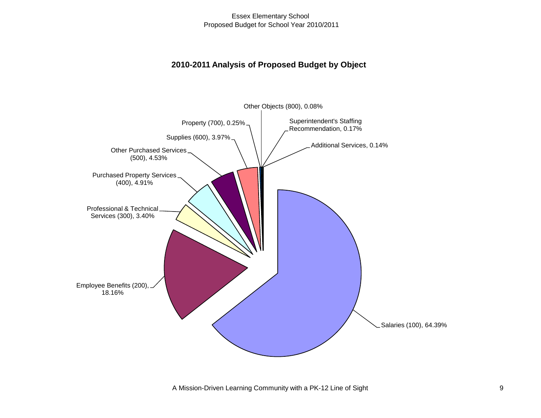### **2010-2011 Analysis of Proposed Budget by Object**

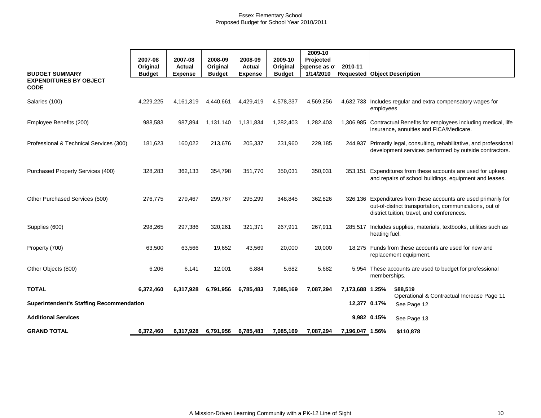|                                                 |               |                |               |                |               | 2009-10       |                 |                                                                                                                                                                         |
|-------------------------------------------------|---------------|----------------|---------------|----------------|---------------|---------------|-----------------|-------------------------------------------------------------------------------------------------------------------------------------------------------------------------|
|                                                 | 2007-08       | 2007-08        | 2008-09       | 2008-09        | 2009-10       | Projected     |                 |                                                                                                                                                                         |
|                                                 | Original      | <b>Actual</b>  | Original      | <b>Actual</b>  | Original      | ixpense as of | 2010-11         |                                                                                                                                                                         |
| <b>BUDGET SUMMARY</b>                           | <b>Budget</b> | <b>Expense</b> | <b>Budget</b> | <b>Expense</b> | <b>Budget</b> | 1/14/2010     |                 | <b>Requested Object Description</b>                                                                                                                                     |
| <b>EXPENDITURES BY OBJECT</b><br><b>CODE</b>    |               |                |               |                |               |               |                 |                                                                                                                                                                         |
| Salaries (100)                                  | 4,229,225     | 4,161,319      | 4,440,661     | 4,429,419      | 4,578,337     | 4,569,256     |                 | 4,632,733 Includes regular and extra compensatory wages for<br>employees                                                                                                |
| Employee Benefits (200)                         | 988,583       | 987,894        | 1,131,140     | 1,131,834      | 1,282,403     | 1,282,403     |                 | 1,306,985 Contractual Benefits for employees including medical, life<br>insurance, annuities and FICA/Medicare.                                                         |
| Professional & Technical Services (300)         | 181,623       | 160,022        | 213,676       | 205,337        | 231,960       | 229,185       | 244,937         | Primarily legal, consulting, rehabilitative, and professional<br>development services performed by outside contractors.                                                 |
| Purchased Property Services (400)               | 328,283       | 362,133        | 354,798       | 351,770        | 350,031       | 350,031       | 353.151         | Expenditures from these accounts are used for upkeep<br>and repairs of school buildings, equipment and leases.                                                          |
| Other Purchased Services (500)                  | 276,775       | 279,467        | 299,767       | 295,299        | 348,845       | 362,826       |                 | 326,136 Expenditures from these accounts are used primarily for<br>out-of-district transportation, communications, out of<br>district tuition, travel, and conferences. |
| Supplies (600)                                  | 298,265       | 297,386        | 320,261       | 321,371        | 267,911       | 267,911       | 285,517         | Includes supplies, materials, textbooks, utilities such as<br>heating fuel.                                                                                             |
| Property (700)                                  | 63,500        | 63,566         | 19,652        | 43,569         | 20,000        | 20,000        |                 | 18,275 Funds from these accounts are used for new and<br>replacement equipment.                                                                                         |
| Other Objects (800)                             | 6,206         | 6,141          | 12,001        | 6,884          | 5,682         | 5,682         |                 | 5,954 These accounts are used to budget for professional<br>memberships.                                                                                                |
| <b>TOTAL</b>                                    | 6,372,460     | 6,317,928      | 6,791,956     | 6,785,483      | 7,085,169     | 7,087,294     | 7,173,688 1.25% | \$88,519<br>Operational & Contractual Increase Page 11                                                                                                                  |
| <b>Superintendent's Staffing Recommendation</b> |               |                |               |                |               |               | 12,377 0.17%    | See Page 12                                                                                                                                                             |
| <b>Additional Services</b>                      |               |                |               |                |               |               |                 | 9,982 0.15%<br>See Page 13                                                                                                                                              |
| <b>GRAND TOTAL</b>                              | 6,372,460     | 6,317,928      | 6,791,956     | 6,785,483      | 7,085,169     | 7,087,294     | 7,196,047 1.56% | \$110,878                                                                                                                                                               |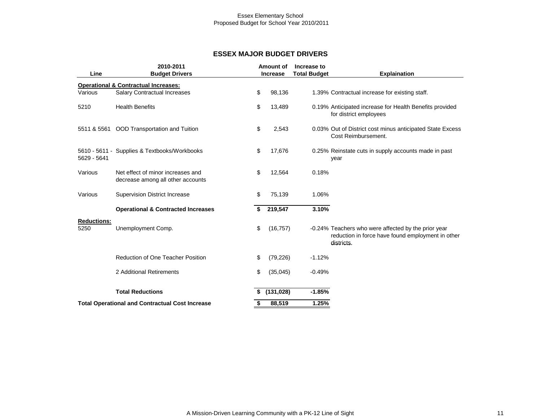#### **ESSEX MAJOR BUDGET DRIVERS**

|                    | 2010-2011                                                              | <b>Amount of</b> | Increase to         |                                                                                                                        |
|--------------------|------------------------------------------------------------------------|------------------|---------------------|------------------------------------------------------------------------------------------------------------------------|
| Line               | <b>Budget Drivers</b>                                                  | <b>Increase</b>  | <b>Total Budget</b> | <b>Explaination</b>                                                                                                    |
|                    | <b>Operational &amp; Contractual Increases:</b>                        |                  |                     |                                                                                                                        |
| Various            | Salary Contractual Increases                                           | \$<br>98,136     |                     | 1.39% Contractual increase for existing staff.                                                                         |
| 5210               | <b>Health Benefits</b>                                                 | \$<br>13,489     |                     | 0.19% Anticipated increase for Health Benefits provided<br>for district employees                                      |
| 5511 & 5561        | OOD Transportation and Tuition                                         | \$<br>2,543      |                     | 0.03% Out of District cost minus anticipated State Excess<br>Cost Reimbursement.                                       |
| 5629 - 5641        | 5610 - 5611 - Supplies & Textbooks/Workbooks                           | \$<br>17,676     |                     | 0.25% Reinstate cuts in supply accounts made in past<br>year                                                           |
| Various            | Net effect of minor increases and<br>decrease among all other accounts | \$<br>12,564     | 0.18%               |                                                                                                                        |
| Various            | Supervision District Increase                                          | \$<br>75.139     | 1.06%               |                                                                                                                        |
|                    | <b>Operational &amp; Contracted Increases</b>                          | 219,547          | 3.10%               |                                                                                                                        |
| <b>Reductions:</b> |                                                                        |                  |                     |                                                                                                                        |
| 5250               | Unemployment Comp.                                                     | \$<br>(16, 757)  |                     | -0.24% Teachers who were affected by the prior year<br>reduction in force have found employment in other<br>districts. |
|                    | Reduction of One Teacher Position                                      | \$<br>(79, 226)  | $-1.12%$            |                                                                                                                        |
|                    | 2 Additional Retirements                                               | \$<br>(35,045)   | $-0.49%$            |                                                                                                                        |
|                    | <b>Total Reductions</b>                                                | \$<br>(131, 028) | $-1.85%$            |                                                                                                                        |
|                    | <b>Total Operational and Contractual Cost Increase</b>                 | \$<br>88,519     | 1.25%               |                                                                                                                        |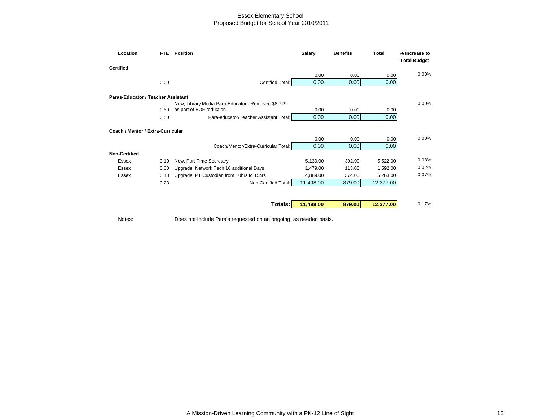| Location<br>FTE.                   | Position                                           | <b>Salary</b> | <b>Benefits</b> | <b>Total</b> | % Increase to       |
|------------------------------------|----------------------------------------------------|---------------|-----------------|--------------|---------------------|
| <b>Certified</b>                   |                                                    |               |                 |              | <b>Total Budget</b> |
|                                    |                                                    | 0.00          | 0.00            | 0.00         | 0.00%               |
| 0.00                               | <b>Certified Total:</b>                            | 0.00          | 0.00            | 0.00         |                     |
| Paras-Educator / Teacher Assistant |                                                    |               |                 |              |                     |
|                                    | New, Library Media Para-Educator - Removed \$8,729 |               |                 |              | 0.00%               |
| 0.50                               | as part of BOF reduction.                          | 0.00          | 0.00            | 0.00         |                     |
| 0.50                               | Para-educator/Teacher Assistant Total:             | 0.00          | 0.00            | 0.00         |                     |
| Coach / Mentor / Extra-Curricular  |                                                    |               |                 |              |                     |
|                                    |                                                    | 0.00          | 0.00            | 0.00         | 0.00%               |
|                                    | Coach/Mentor/Extra-Curricular Total:               | 0.00          | 0.00            | 0.00         |                     |
| <b>Non-Certified</b>               |                                                    |               |                 |              |                     |
| <b>Essex</b><br>0.10               | New, Part-Time Secretary                           | 5,130.00      | 392.00          | 5,522.00     | 0.08%               |
| <b>Essex</b><br>0.00               | Upgrade, Network Tech 10 additional Days           | 1,479.00      | 113.00          | 1,592.00     | 0.02%               |
| <b>Essex</b><br>0.13               | Upgrade, PT Custodian from 10hrs to 15hrs          | 4,889.00      | 374.00          | 5,263.00     | 0.07%               |
| 0.23                               | Non-Certified Total:                               | 11,498.00     | 879.00          | 12,377.00    |                     |
|                                    |                                                    |               |                 |              |                     |
|                                    | Totals:                                            | 11,498.00     | 879.00          | 12,377.00    | 0.17%               |

Notes: Does not include Para's requested on an ongoing, as needed basis.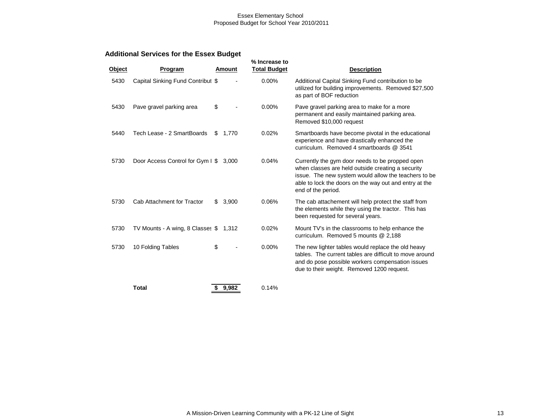### **Additional Services for the Essex Budget**

| Object | Program                                |    | <b>Amount</b> | % Increase to<br><b>Total Budget</b> | <b>Description</b>                                                                                                                                                                                                                           |
|--------|----------------------------------------|----|---------------|--------------------------------------|----------------------------------------------------------------------------------------------------------------------------------------------------------------------------------------------------------------------------------------------|
| 5430   | Capital Sinking Fund Contribut \$      |    |               | 0.00%                                | Additional Capital Sinking Fund contribution to be<br>utilized for building improvements. Removed \$27,500<br>as part of BOF reduction                                                                                                       |
| 5430   | Pave gravel parking area               | \$ |               | 0.00%                                | Pave gravel parking area to make for a more<br>permanent and easily maintained parking area.<br>Removed \$10,000 request                                                                                                                     |
| 5440   | Tech Lease - 2 SmartBoards             | S  | 1,770         | 0.02%                                | Smartboards have become pivotal in the educational<br>experience and have drastically enhanced the<br>curriculum. Removed 4 smartboards @ 3541                                                                                               |
| 5730   | Door Access Control for Gym I \$       |    | 3,000         | 0.04%                                | Currently the gym door needs to be propped open<br>when classes are held outside creating a security<br>issue. The new system would allow the teachers to be<br>able to lock the doors on the way out and entry at the<br>end of the period. |
| 5730   | Cab Attachment for Tractor             | \$ | 3,900         | 0.06%                                | The cab attachement will help protect the staff from<br>the elements while they using the tractor. This has<br>been requested for several years.                                                                                             |
| 5730   | TV Mounts - A wing, 8 Classes \$ 1,312 |    |               | 0.02%                                | Mount TV's in the classrooms to help enhance the<br>curriculum. Removed 5 mounts @ 2,188                                                                                                                                                     |
| 5730   | 10 Folding Tables                      | \$ |               | 0.00%                                | The new lighter tables would replace the old heavy<br>tables. The current tables are difficult to move around<br>and do pose possible workers compensation issues<br>due to their weight. Removed 1200 request.                              |
|        | <b>Total</b>                           | \$ | 9.982         | 0.14%                                |                                                                                                                                                                                                                                              |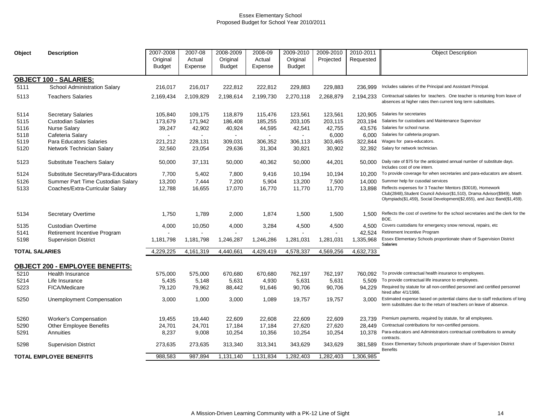| Object         | <b>Description</b>                  | 2007-2008     | 2007-08      | 2008-2009     | 2008-09        | 2009-2010     | 2009-2010 | 2010-2011 | <b>Object Description</b>                                                                                                                                                                                          |
|----------------|-------------------------------------|---------------|--------------|---------------|----------------|---------------|-----------|-----------|--------------------------------------------------------------------------------------------------------------------------------------------------------------------------------------------------------------------|
|                |                                     | Original      | Actual       | Original      | Actual         | Original      | Projected | Requested |                                                                                                                                                                                                                    |
|                |                                     | <b>Budget</b> | Expense      | <b>Budget</b> | Expense        | <b>Budget</b> |           |           |                                                                                                                                                                                                                    |
|                |                                     |               |              |               |                |               |           |           |                                                                                                                                                                                                                    |
|                | <b>OBJECT 100 - SALARIES:</b>       |               |              |               |                |               |           |           |                                                                                                                                                                                                                    |
| 5111           | School Administration Salary        | 216,017       | 216,017      | 222,812       | 222,812        | 229,883       | 229,883   | 236.999   | Includes salaries of the Principal and Assistant Principal.                                                                                                                                                        |
| 5113           | <b>Teachers Salaries</b>            | 2,169,434     | 2,109,829    | 2,198,614     | 2,199,730      | 2,270,118     | 2,268,879 | 2,194,233 | Contractual salaries for teachers. One teacher is returning from leave of<br>absences at higher rates then current long term substitutes.                                                                          |
| 5114           | <b>Secretary Salaries</b>           | 105,840       | 109,175      | 118,879       | 115,476        | 123,561       | 123,561   | 120,905   | Salaries for secretaries                                                                                                                                                                                           |
| 5115           | <b>Custodian Salaries</b>           | 173,679       | 171,942      | 186,408       | 185,255        | 203,105       | 203,115   | 203.194   | Salaries for custodians and Maintenance Supervisor                                                                                                                                                                 |
| 5116           | <b>Nurse Salary</b>                 | 39,247        | 42,902       | 40,924        | 44,595         | 42,541        | 42,755    | 43,576    | Salaries for school nurse.                                                                                                                                                                                         |
| 5118           | Cafeteria Salary                    | $\sim$        | $\mathbf{r}$ | $\mathbf{r}$  | $\blacksquare$ | $\sim$        | 6,000     | 6,000     | Salaries for cafeteria program.                                                                                                                                                                                    |
| 5119           | Para Educators Salaries             | 221,212       | 228,131      | 309,031       | 306.352        | 306,113       | 303,465   | 322.844   | Wages for para-educators.                                                                                                                                                                                          |
| 5120           | Network Technician Salary           | 32,560        | 23,054       | 29,636        | 31,304         | 30,821        | 30,902    | 32,392    | Salary for network technician.                                                                                                                                                                                     |
| 5123           | Substitute Teachers Salary          | 50,000        | 37,131       | 50,000        | 40,362         | 50,000        | 44,201    | 50.000    | Daily rate of \$75 for the anticipated annual number of substitute days.<br>Includes cost of one intern.                                                                                                           |
| 5124           | Substitute Secretary/Para-Educators | 7,700         | 5,402        | 7,800         | 9,416          | 10,194        | 10,194    | 10,200    | To provide coverage for when secretaries and para-educators are absent.                                                                                                                                            |
| 5126           | Summer Part Time Custodian Salary   | 13,200        | 7,444        | 7,200         | 5,904          | 13,200        | 7,500     |           | 14,000 Summer help for cusodial services                                                                                                                                                                           |
| 5133           | Coaches/Extra-Curricular Salary     | 12,788        | 16,655       | 17,070        | 16,770         | 11,770        | 11,770    | 13.898    | Reflects expenses for 3 Teacher Mentors (\$3018), Homework<br>Club(2848), Student Council Advisor(\$1,510), Drama Advisor(\$949), Math<br>Olympiads(\$1,459), Social Development(\$2,655), and Jazz Band(\$1,459). |
| 5134           | Secretary Overtime                  | 1,750         | 1,789        | 2,000         | 1,874          | 1,500         | 1,500     | 1.500     | Reflects the cost of overtime for the school secretaries and the clerk for the<br>BOE.                                                                                                                             |
| 5135           | <b>Custodian Overtime</b>           | 4,000         | 10,050       | 4,000         | 3,284          | 4,500         | 4,500     | 4,500     | Covers custodians for emergency snow removal, repairs, etc                                                                                                                                                         |
| 5141           | Retirement Incentive Program        |               |              |               |                |               |           | 42,524    | Retirement Incentive Program                                                                                                                                                                                       |
| 5198           | <b>Supervision District</b>         | 1,181,798     | 1,181,798    | 1,246,287     | 1,246,286      | 1,281,031     | 1,281,031 | 1,335,968 | Essex Elementary Schools proportionate share of Supervision District<br>Salaries                                                                                                                                   |
| TOTAL SALARIES |                                     | 4,229,225     | 4,161,319    | 4,440,661     | 4,429,419      | 4,578,337     | 4,569,256 | 4,632,733 |                                                                                                                                                                                                                    |
|                | OBJECT 200 - EMPLOYEE BENEFITS:     |               |              |               |                |               |           |           |                                                                                                                                                                                                                    |
| 5210           | <b>Health Insurance</b>             | 575,000       | 575,000      | 670,680       | 670,680        | 762,197       | 762,197   | 760.092   | To provide contractual health insurance to employees.                                                                                                                                                              |
| 5214           | Life Insurance                      | 5,435         | 5,148        | 5,631         | 4,930          | 5,631         | 5,631     | 5.509     | To provide contractual life insurance to employees.                                                                                                                                                                |
| 5223           | FICA/Medicare                       | 79,120        | 79,962       | 88,442        | 91,646         | 90,706        | 90,706    | 94,229    | Required by statute for all non-certified personnel and certified personnel<br>hired after 4/1/1986.                                                                                                               |
| 5250           | Unemployment Compensation           | 3,000         | 1,000        | 3,000         | 1,089          | 19.757        | 19,757    | 3.000     | Estimated expense based on potential claims due to staff reductions of long<br>term substitutes due to the return of teachers on leave of absence.                                                                 |
| 5260           | <b>Worker's Compensation</b>        | 19,455        | 19,440       | 22,609        | 22,608         | 22,609        | 22,609    | 23.739    | Premium payments, required by statute, for all employees.                                                                                                                                                          |
| 5290           | <b>Other Employee Benefits</b>      | 24,701        | 24,701       | 17,184        | 17,184         | 27,620        | 27,620    | 28,449    | Contractual contributions for non-certified pensions.                                                                                                                                                              |
| 5291           | Annuities                           | 8,237         | 9,008        | 10,254        | 10,356         | 10,254        | 10,254    | 10,378    | Para-educators and Administrators contractual contributions to annuity<br>contracts.                                                                                                                               |
| 5298           | <b>Supervision District</b>         | 273,635       | 273,635      | 313,340       | 313,341        | 343,629       | 343,629   | 381,589   | Essex Elementary Schools proportionate share of Supervision District<br><b>Benefits</b>                                                                                                                            |
|                | <b>TOTAL EMPLOYEE BENEFITS</b>      | 988,583       | 987,894      | 1,131,140     | 1,131,834      | 1,282,403     | 1,282,403 | 1,306,985 |                                                                                                                                                                                                                    |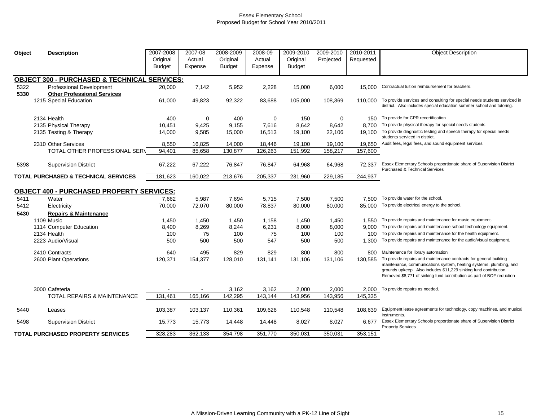| Object | <b>Description</b>                                      | 2007-2008     | 2007-08 | 2008-2009     | 2008-09 | 2009-2010     | 2009-2010 | 2010-2011 | <b>Object Description</b>                                                                                                                                                                                                                                                             |
|--------|---------------------------------------------------------|---------------|---------|---------------|---------|---------------|-----------|-----------|---------------------------------------------------------------------------------------------------------------------------------------------------------------------------------------------------------------------------------------------------------------------------------------|
|        |                                                         | Original      | Actual  | Original      | Actual  | Original      | Projected | Requested |                                                                                                                                                                                                                                                                                       |
|        |                                                         | <b>Budget</b> | Expense | <b>Budget</b> | Expense | <b>Budget</b> |           |           |                                                                                                                                                                                                                                                                                       |
|        |                                                         |               |         |               |         |               |           |           |                                                                                                                                                                                                                                                                                       |
|        | <b>OBJECT 300 - PURCHASED &amp; TECHNICAL SERVICES:</b> |               |         |               |         |               |           |           |                                                                                                                                                                                                                                                                                       |
| 5322   | <b>Professional Development</b>                         | 20,000        | 7,142   | 5,952         | 2,228   | 15,000        | 6,000     | 15,000    | Contractual tuition reimbursement for teachers.                                                                                                                                                                                                                                       |
| 5330   | <b>Other Professional Services</b>                      |               |         |               |         |               |           |           |                                                                                                                                                                                                                                                                                       |
|        | 1215 Special Education                                  | 61,000        | 49,823  | 92,322        | 83,688  | 105,000       | 108,369   | 110.000   | To provide services and consulting for special needs students serviced in<br>district. Also includes special education summer school and tutoring.                                                                                                                                    |
|        | 2134 Health                                             | 400           | 0       | 400           | 0       | 150           | 0         | 150       | To provide for CPR recertification                                                                                                                                                                                                                                                    |
|        | 2135 Physical Therapy                                   | 10,451        | 9,425   | 9,155         | 7,616   | 8,642         | 8,642     | 8.700     | To provide physical therapy for special needs students.                                                                                                                                                                                                                               |
|        | 2135 Testing & Therapy                                  | 14,000        | 9,585   | 15,000        | 16,513  | 19,100        | 22,106    | 19,100    | To provide diagnostic testing and speech therapy for special needs                                                                                                                                                                                                                    |
|        |                                                         |               |         |               |         |               |           |           | students serviced in district.                                                                                                                                                                                                                                                        |
|        | 2310 Other Services                                     | 8,550         | 16,825  | 14,000        | 18,446  | 19,100        | 19,100    | 19,650    | Audit fees, legal fees, and sound equipment services.                                                                                                                                                                                                                                 |
|        | TOTAL OTHER PROFESSIONAL SER\                           | 94,401        | 85,658  | 130,877       | 126,263 | 151,992       | 158,217   | 157,600   |                                                                                                                                                                                                                                                                                       |
| 5398   | <b>Supervision District</b>                             | 67,222        | 67,222  | 76,847        | 76,847  | 64,968        | 64,968    | 72.337    | Essex Elementary Schools proportionate share of Supervision District<br><b>Purchased &amp; Technical Services</b>                                                                                                                                                                     |
|        | <b>TOTAL PURCHASED &amp; TECHNICAL SERVICES</b>         | 181,623       | 160,022 | 213,676       | 205,337 | 231,960       | 229,185   | 244,937   |                                                                                                                                                                                                                                                                                       |
|        |                                                         |               |         |               |         |               |           |           |                                                                                                                                                                                                                                                                                       |
|        | <b>OBJECT 400 - PURCHASED PROPERTY SERVICES:</b>        |               |         |               |         |               |           |           |                                                                                                                                                                                                                                                                                       |
| 5411   | Water                                                   | 7,662         | 5,987   | 7,694         | 5,715   | 7,500         | 7,500     | 7.500     | To provide water for the school.                                                                                                                                                                                                                                                      |
| 5412   | Electricity                                             | 70,000        | 72,070  | 80,000        | 78,837  | 80,000        | 80,000    | 85,000    | To provide electrical energy to the school.                                                                                                                                                                                                                                           |
| 5430   | <b>Repairs &amp; Maintenance</b>                        |               |         |               |         |               |           |           |                                                                                                                                                                                                                                                                                       |
|        | 1109 Music                                              | 1,450         | 1,450   | 1,450         | 1,158   | 1,450         | 1,450     | 1,550     | To provide repairs and maintenance for music equipment.                                                                                                                                                                                                                               |
|        | 1114 Computer Education                                 | 8,400         | 8,269   | 8,244         | 6,231   | 8,000         | 8,000     | 9.000     | To provide repairs and maintenance school technology equipment.                                                                                                                                                                                                                       |
|        | 2134 Health                                             | 100           | 75      | 100           | 75      | 100           | 100       | 100       | To provide repairs and maintenance for the health equipment.                                                                                                                                                                                                                          |
|        | 2223 Audio/Visual                                       | 500           | 500     | 500           | 547     | 500           | 500       | 1,300     | To provide repairs and maintenance for the audio/visual equipment.                                                                                                                                                                                                                    |
|        | 2410 Contracts                                          | 640           | 495     | 829           | 829     | 800           | 800       | 800       | Maintenance for library automation.                                                                                                                                                                                                                                                   |
|        | 2600 Plant Operations                                   | 120,371       | 154,377 | 128,010       | 131,141 | 131,106       | 131,106   | 130,585   | To provide repairs and maintenance contracts for general building<br>maintenance, communications system, heating systems, plumbing, and<br>grounds upkeep. Also includes \$11,229 sinking fund contribution.<br>Removed \$8,771 of sinking fund contribution as part of BOF reduction |
|        | 3000 Cafeteria                                          |               |         | 3,162         | 3,162   | 2,000         | 2,000     | 2,000     | To provide repairs as needed.                                                                                                                                                                                                                                                         |
|        | <b>TOTAL REPAIRS &amp; MAINTENANCE</b>                  | 131,461       | 165,166 | 142,295       | 143,144 | 143,956       | 143,956   | 145,335   |                                                                                                                                                                                                                                                                                       |
|        |                                                         |               |         |               |         |               |           |           |                                                                                                                                                                                                                                                                                       |
| 5440   | Leases                                                  | 103,387       | 103,137 | 110,361       | 109,626 | 110,548       | 110,548   | 108,639   | Equipment lease agreements for technology, copy machines, and musical<br>instruments.                                                                                                                                                                                                 |
| 5498   | <b>Supervision District</b>                             | 15,773        | 15,773  | 14,448        | 14,448  | 8,027         | 8,027     | 6.677     | Essex Elementary Schools proportionate share of Supervision District<br><b>Property Services</b>                                                                                                                                                                                      |
|        | <b>TOTAL PURCHASED PROPERTY SERVICES</b>                | 328,283       | 362,133 | 354,798       | 351,770 | 350,031       | 350,031   | 353,151   |                                                                                                                                                                                                                                                                                       |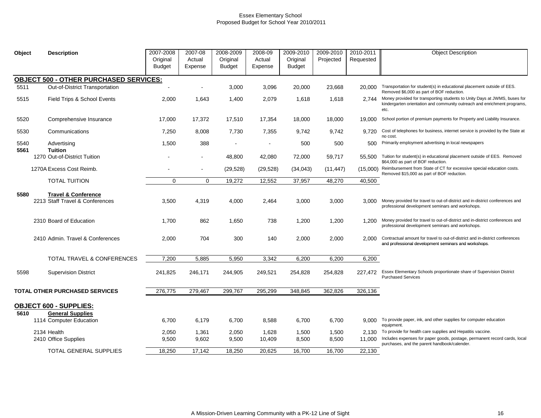| Object       | <b>Description</b>                                                | 2007-2008<br>Original<br>Budget | 2007-08<br>Actual<br>Expense | 2008-2009<br>Original<br><b>Budget</b> | 2008-09<br>Actual<br>Expense | 2009-2010<br>Original<br><b>Budget</b> | 2009-2010<br>Projected | 2010-2011<br>Requested | <b>Object Description</b>                                                                                                                                     |
|--------------|-------------------------------------------------------------------|---------------------------------|------------------------------|----------------------------------------|------------------------------|----------------------------------------|------------------------|------------------------|---------------------------------------------------------------------------------------------------------------------------------------------------------------|
|              | <b>OBJECT 500 - OTHER PURCHASED SERVICES:</b>                     |                                 |                              |                                        |                              |                                        |                        |                        |                                                                                                                                                               |
| 5511         | Out-of-District Transportation                                    |                                 |                              | 3,000                                  | 3,096                        | 20.000                                 | 23,668                 | 20.000                 | Transportation for student(s) in educational placement outside of EES.<br>Removed \$6,000 as part of BOF reduction.                                           |
| 5515         | Field Trips & School Events                                       | 2,000                           | 1,643                        | 1,400                                  | 2,079                        | 1,618                                  | 1,618                  | 2.744                  | Money provided for transporting students to Unity Days at JWMS, buses for<br>kindergarten orientation and community outreach and enrichment programs,<br>etc. |
| 5520         | Comprehensive Insurance                                           | 17,000                          | 17,372                       | 17,510                                 | 17,354                       | 18,000                                 | 18,000                 | 19.000                 | School portion of premium payments for Property and Liability Insurance.                                                                                      |
| 5530         | Communications                                                    | 7,250                           | 8,008                        | 7,730                                  | 7,355                        | 9.742                                  | 9,742                  | 9.720                  | Cost of telephones for business, internet service is provided by the State at<br>no cost.                                                                     |
| 5540<br>5561 | Advertising<br><b>Tuition</b>                                     | 1,500                           | 388                          |                                        |                              | 500                                    | 500                    | 500                    | Primarily employment advertising in local newspapers                                                                                                          |
|              | 1270 Out-of-District Tuition                                      |                                 |                              | 48,800                                 | 42,080                       | 72,000                                 | 59,717                 | 55,500                 | Tuition for student(s) in educational placement outside of EES. Removed<br>\$64,000 as part of BOF reduction.                                                 |
|              | 1270A Excess Cost Reimb.                                          |                                 | $\blacksquare$               | (29, 528)                              | (29, 528)                    | (34, 043)                              | (11, 447)              | (15.000)               | Reimbursement from State of CT for excessive special education costs.<br>Removed \$15,000 as part of BOF reduction.                                           |
|              | <b>TOTAL TUITION</b>                                              | $\mathbf 0$                     | $\mathbf 0$                  | 19,272                                 | 12,552                       | 37,957                                 | 48,270                 | 40,500                 |                                                                                                                                                               |
| 5580         | <b>Travel &amp; Conference</b><br>2213 Staff Travel & Conferences | 3,500                           | 4,319                        | 4,000                                  | 2,464                        | 3,000                                  | 3,000                  | 3.000                  | Money provided for travel to out-of-district and in-district conferences and<br>professional development seminars and workshops.                              |
|              | 2310 Board of Education                                           | 1.700                           | 862                          | 1,650                                  | 738                          | 1,200                                  | 1,200                  | 1.200                  | Money provided for travel to out-of-district and in-district conferences and<br>professional development seminars and workshops.                              |
|              | 2410 Admin. Travel & Conferences                                  | 2,000                           | 704                          | 300                                    | 140                          | 2,000                                  | 2,000                  | 2.000                  | Contractual amount for travel to out-of-district and in-district conferences<br>and professional development seminars and workshops.                          |
|              | <b>TOTAL TRAVEL &amp; CONFERENCES</b>                             | 7,200                           | 5,885                        | 5,950                                  | 3,342                        | 6,200                                  | 6,200                  | 6,200                  |                                                                                                                                                               |
| 5598         | <b>Supervision District</b>                                       | 241,825                         | 246,171                      | 244,905                                | 249,521                      | 254,828                                | 254,828                | 227,472                | Essex Elementary Schools proportionate share of Supervision District<br><b>Purchased Services</b>                                                             |
|              | TOTAL OTHER PURCHASED SERVICES                                    | 276,775                         | 279,467                      | 299,767                                | 295,299                      | 348,845                                | 362,826                | 326,136                |                                                                                                                                                               |
|              | <b>OBJECT 600 - SUPPLIES:</b>                                     |                                 |                              |                                        |                              |                                        |                        |                        |                                                                                                                                                               |
| 5610         | <b>General Supplies</b><br>1114 Computer Education                | 6,700                           | 6,179                        | 6,700                                  | 8,588                        | 6,700                                  | 6,700                  | 9.000                  | To provide paper, ink, and other supplies for computer education<br>equipment.                                                                                |
|              | 2134 Health                                                       | 2,050                           | 1,361                        | 2,050                                  | 1,628                        | 1,500                                  | 1,500                  | 2.130                  | To provide for health care supplies and Hepatitis vaccine.                                                                                                    |
|              | 2410 Office Supplies                                              | 9,500                           | 9,602                        | 9,500                                  | 10,409                       | 8,500                                  | 8,500                  | 11.000                 | Includes expenses for paper goods, postage, permanent record cards, local<br>purchases, and the parent handbook/calender.                                     |
|              | <b>TOTAL GENERAL SUPPLIES</b>                                     | 18,250                          | 17.142                       | 18,250                                 | 20,625                       | 16,700                                 | 16,700                 | 22,130                 |                                                                                                                                                               |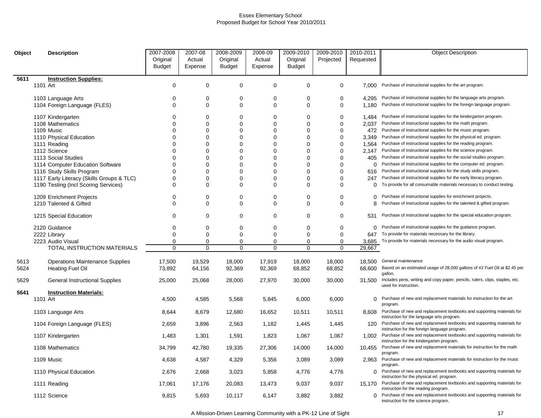| Object |          | <b>Description</b>                                 | 2007-2008     | 2007-08          | 2008-2009               | 2008-09                    | 2009-2010   | 2009-2010            | 2010-2011        | <b>Object Description</b>                                                                                                                              |
|--------|----------|----------------------------------------------------|---------------|------------------|-------------------------|----------------------------|-------------|----------------------|------------------|--------------------------------------------------------------------------------------------------------------------------------------------------------|
|        |          |                                                    | Original      | Actual           | Original                | Actual                     | Original    | Projected            | Requested        |                                                                                                                                                        |
|        |          |                                                    | <b>Budget</b> | Expense          | <b>Budget</b>           | Expense                    | Budget      |                      |                  |                                                                                                                                                        |
| 5611   |          | <b>Instruction Supplies:</b>                       |               |                  |                         |                            |             |                      |                  |                                                                                                                                                        |
|        | 1101 Art |                                                    | $\mathbf 0$   | $\mathbf 0$      | $\mathbf 0$             | $\mathbf 0$                | 0           | 0                    |                  | 7,000 Purchase of instructional supplies for the art program.                                                                                          |
|        |          |                                                    |               |                  |                         |                            |             |                      |                  |                                                                                                                                                        |
|        |          | 1103 Language Arts                                 | 0             | 0                | 0                       | 0                          | 0           | 0                    | 4,295            | Purchase of instructional supplies for the language arts program.                                                                                      |
|        |          | 1104 Foreign Language (FLES)                       | $\mathbf 0$   | $\mathbf 0$      | 0                       | $\mathbf 0$                | 0           | 0                    | 1,180            | Purchase of instructional supplies for the foreign language program.                                                                                   |
|        |          | 1107 Kindergarten                                  | $\Omega$      | 0                | $\Omega$                | 0                          | 0           | 0                    | 1,484            | Purchase of instructional supplies for the kindergarten program.                                                                                       |
|        |          | 1108 Mathematics                                   | 0             | 0                | $\Omega$                | $\mathbf 0$                | $\Omega$    | $\Omega$             | 2,037            | Purchase of instructional supplies for the math program.                                                                                               |
|        |          | 1109 Music                                         | 0             | $\mathbf 0$      | $\Omega$                | $\mathbf 0$                | $\Omega$    | $\Omega$             | 472              | Purchase of instructional supplies for the music program.                                                                                              |
|        |          | 1110 Physical Education                            | 0             | 0                | $\Omega$                | $\mathbf 0$                | 0           | $\Omega$             | 3.349            | Purchase of instructional supplies for the physical ed. program.                                                                                       |
|        |          | 1111 Reading                                       | 0             | $\mathbf 0$      | $\Omega$                | $\mathbf 0$                | 0           | $\Omega$             | 1,564            | Purchase of instructional supplies for the reading program.                                                                                            |
|        |          | 1112 Science                                       | $\Omega$      | $\Omega$         | $\Omega$                | $\Omega$                   | $\Omega$    | $\Omega$             | 2,147            | Purchase of instructional supplies for the science program.                                                                                            |
|        |          | 1113 Social Studies                                | 0             | 0                | $\Omega$                | $\mathbf 0$                | 0           | $\Omega$             | 405              | Purchase of instructional supplies for the social studies program.                                                                                     |
|        |          | 1114 Computer Education Software                   | 0             | 0                | $\Omega$                | $\mathbf 0$                | 0           | $\Omega$             |                  | () Purchase of instructional supplies for the computer ed. program.                                                                                    |
|        |          | 1116 Study Skills Program                          | $\Omega$      | $\Omega$         | 0                       | $\Omega$                   | $\Omega$    | $\Omega$             | 616              | Purchase of instructional supplies for the study skills program.                                                                                       |
|        |          | 1117 Early Literacy (Skills Groups & TLC)          | 0             | $\mathbf 0$      | $\mathbf 0$             | $\mathbf 0$                | $\Omega$    | $\Omega$             | 247              | Purchase of instructional supplies for the early literacy program.                                                                                     |
|        |          | 1190 Testing (Incl Scoring Services)               | 0             | 0                | $\Omega$                | 0                          | 0           | $\Omega$             | 0                | To provide for all consumable materials necessary to conduct testing.                                                                                  |
|        |          |                                                    |               |                  |                         |                            |             |                      |                  |                                                                                                                                                        |
|        |          | 1209 Enrichment Projects<br>1210 Talented & Gifted | $\Omega$<br>0 | $\mathbf 0$<br>0 | $\Omega$<br>$\mathbf 0$ | $\mathbf 0$<br>$\mathbf 0$ | 0<br>0      | $\Omega$<br>$\Omega$ | $\mathbf 0$<br>8 | Purchase of instructional supplies for enrichment projects.<br>Purchase of instructional supplies for the talented & gifted program.                   |
|        |          |                                                    |               |                  |                         |                            |             |                      |                  |                                                                                                                                                        |
|        |          | 1215 Special Education                             | 0             | 0                | $\Omega$                | $\mathbf 0$                | 0           | $\Omega$             | 531              | Purchase of instructional supplies for the special education program.                                                                                  |
|        |          | 2120 Guidance                                      | 0             | 0                | 0                       | 0                          | 0           | 0                    | 0                | Purchase of instructional supplies for the guidance program.                                                                                           |
|        |          | 2222 Library                                       | 0             | $\mathbf 0$      | $\mathbf 0$             | $\mathbf 0$                | 0           | $\Omega$             | 647              | To provide for materials necessary for the library.                                                                                                    |
|        |          | 2223 Audio Visual                                  | 0             | 0                | $\mathbf 0$             | $\pmb{0}$                  | 0           | $\Omega$             | 3,685            | To provide for materials necessary for the audio visual program.                                                                                       |
|        |          | TOTAL INSTRUCTION MATERIALS                        | $\mathbf 0$   | $\mathbf 0$      | $\mathbf 0$             | $\mathbf 0$                | $\mathbf 0$ | $\mathbf 0$          | 29,667           |                                                                                                                                                        |
|        |          |                                                    |               |                  |                         |                            |             |                      |                  |                                                                                                                                                        |
| 5613   |          | <b>Operations Maintenance Supplies</b>             | 17,500        | 19,529           | 18,000                  | 17,919                     | 18,000      | 18,000               | 18.500           | General maintenance                                                                                                                                    |
| 5624   |          | <b>Heating Fuel Oil</b>                            | 73,892        | 64,156           | 92,369                  | 92,369                     | 68,852      | 68,852               | 68.600           | Based on an estimated usage of 28,000 gallons of #2 Fuel Oil at \$2.45 per<br>gallon.                                                                  |
| 5629   |          | General Instructional Supplies                     | 25,000        | 25,068           | 28,000                  | 27,970                     | 30,000      | 30,000               | 31,500           | Includes pens, writing and copy paper, pencils, rulers, clips, staples, etc.<br>used for instruction.                                                  |
| 5641   |          | <b>Instruction Materials:</b>                      |               |                  |                         |                            |             |                      |                  |                                                                                                                                                        |
|        | 1101 Art |                                                    | 4,500         | 4,585            | 5,568                   | 5,845                      | 6,000       | 6,000                |                  | 0 Purchase of new and replacement materials for instruction for the art                                                                                |
|        |          |                                                    |               |                  |                         |                            |             |                      |                  | program.                                                                                                                                               |
|        |          | 1103 Language Arts                                 | 8,644         | 8,679            | 12,680                  | 16,652                     | 10,511      | 10,511               |                  | 8,608 Purchase of new and replacement textbooks and supporting materials for<br>instruction for the language arts program.                             |
|        |          | 1104 Foreign Language (FLES)                       | 2,659         | 3,896            | 2,563                   | 1,182                      | 1,445       | 1,445                | 120              | Purchase of new and replacement textbooks and supporting materials for<br>instruction for the foreign language program.                                |
|        |          | 1107 Kindergarten                                  | 1,483         | 1,301            | 1,591                   | 1,823                      | 1,067       | 1,067                | 1,002            | Purchase of new and replacement textbooks and supporting materials for<br>instruction for the kindergarten program.                                    |
|        |          | 1108 Mathematics                                   | 34,799        | 42,780           | 19,335                  | 27,306                     | 14,000      | 14,000               | 10.455           | Purchase of new and replacement materials for instruction for the math<br>program.                                                                     |
|        |          | 1109 Music                                         | 4,638         | 4,587            | 4,329                   | 5,356                      | 3,089       | 3,089                |                  | 2,963 Purchase of new and replacement materials for instruction for the music<br>program.                                                              |
|        |          | 1110 Physical Education                            | 2,676         | 2,668            | 3,023                   | 5,858                      | 4,776       | 4,776                | $\Omega$         | Purchase of new and replacement textbooks and supporting materials for                                                                                 |
|        |          | 1111 Reading                                       | 17,061        | 17,176           | 20,083                  | 13,473                     | 9,037       | 9,037                |                  | instruction for the physical ed. program.<br>15,170 Purchase of new and replacement textbooks and supporting materials for                             |
|        |          | 1112 Science                                       | 9,815         | 5,693            | 10,117                  | 6,147                      | 3,882       | 3,882                | $\Omega$         | instruction for the reading program.<br>Purchase of new and replacement textbooks and supporting materials for<br>instruction for the science program. |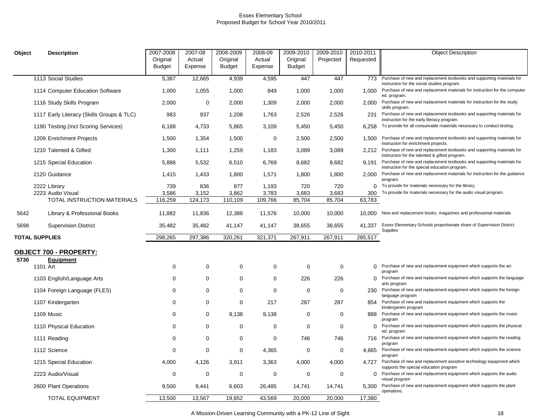| Object                |          | <b>Description</b>                        | 2007-2008<br>Original | 2007-08<br>Actual | 2008-2009<br>Original | 2008-09<br>Actual | 2009-2010<br>Original | 2009-2010<br>Projected | 2010-2011<br>Requested | <b>Object Description</b>                                                                                                      |
|-----------------------|----------|-------------------------------------------|-----------------------|-------------------|-----------------------|-------------------|-----------------------|------------------------|------------------------|--------------------------------------------------------------------------------------------------------------------------------|
|                       |          |                                           | <b>Budget</b>         | Expense           | <b>Budget</b>         | Expense           | <b>Budget</b>         |                        |                        |                                                                                                                                |
|                       |          | 1113 Social Studies                       | 5,387                 | 12,665            | 4,939                 | 4,595             | 447                   | 447                    | 773                    | Purchase of new and replacement textbooks and supporting materials for<br>instruction for the social studies program.          |
|                       |          | 1114 Computer Education Software          | 1,000                 | 1,055             | 1,000                 | 849               | 1,000                 | 1,000                  | 1.000                  | Purchase of new and replacement materials for instruction for the computer<br>ed. program.                                     |
|                       |          | 1116 Study Skills Program                 | 2,000                 | $\mathbf 0$       | 2,000                 | 1,309             | 2,000                 | 2,000                  | 2.000                  | Purchase of new and replacement materials for instruction for the study<br>skills program.                                     |
|                       |          | 1117 Early Literacy (Skills Groups & TLC) | 983                   | 937               | 1,208                 | 1,763             | 2,526                 | 2,526                  | 231                    | Purchase of new and replacement textbooks and supporting materials for<br>instruction for the early literacy program.          |
|                       |          | 1190 Testing (Incl Scoring Services)      | 6,188                 | 4,733             | 5,865                 | 3,109             | 5,450                 | 5,450                  | 6,258                  | To provide for all consumable materials necessary to conduct testing.                                                          |
|                       |          | 1209 Enrichment Projects                  | 1,500                 | 1,354             | 1,500                 | 0                 | 2,500                 | 2,500                  |                        | 1.500 Purchase of new and replacement textbooks and supporting materials for<br>instruction for enrichment projects.           |
|                       |          | 1210 Talented & Gifted                    | 1,300                 | 1,111             | 1,259                 | 1,183             | 3,089                 | 3,089                  |                        | 2.212 Purchase of new and replacement textbooks and supporting materials for<br>instruction for the talented & gifted program. |
|                       |          | 1215 Special Education                    | 5,886                 | 5,532             | 6,510                 | 6,769             | 8,682                 | 8,682                  | 9.191                  | Purchase of new and replacement textbooks and supporting materials for<br>instruction for the special education program.       |
|                       |          | 2120 Guidance                             | 1,415                 | 1,433             | 1,800                 | 1,571             | 1,800                 | 1,800                  |                        | 2,000 Purchase of new and replacement materials for instruction for the guidance<br>program.                                   |
|                       |          | 2222 Library                              | 739                   | 836               | 877                   | 1,193             | 720                   | 720                    | $\Omega$               | To provide for materials necessary for the library.                                                                            |
|                       |          | 2223 Audio Visual                         | 3,586                 | 3,152             | 3,862                 | 3,783             | 3,683                 | 3,683                  | 300                    | To provide for materials necessary for the audio visual program.                                                               |
|                       |          | TOTAL INSTRUCTION MATERIALS               | 116,259               | 124,173           | 110,109               | 109,766           | 85,704                | 85,704                 | 63,783                 |                                                                                                                                |
| 5642                  |          | Library & Professional Books              | 11,882                | 11,836            | 12,386                | 11,576            | 10,000                | 10,000                 | 10.000                 | New and replacement books, magazines and professional materials                                                                |
| 5698                  |          | <b>Supervision District</b>               | 35,482                | 35,482            | 41,147                | 41,147            | 38,655                | 38,655                 | 41.337                 | Essex Elementary Schools proportionate share of Supervision District<br>Supplies                                               |
| <b>TOTAL SUPPLIES</b> |          |                                           | 298,265               | 297,386           | 320,261               | 321,371           | 267,911               | 267,911                | 285,517                |                                                                                                                                |
|                       |          | <b>OBJECT 700 - PROPERTY:</b>             |                       |                   |                       |                   |                       |                        |                        |                                                                                                                                |
| 5730                  |          | <b>Equipment</b>                          |                       |                   |                       |                   |                       |                        |                        |                                                                                                                                |
|                       | 1101 Art |                                           | 0                     | $\mathbf 0$       | $\Omega$              | 0                 | $\Omega$              | 0                      |                        | () Purchase of new and replacement equipment which supports the art<br>program                                                 |
|                       |          | 1103 English/Language Arts                | 0                     | $\mathbf 0$       | 0                     | 0                 | 226                   | 226                    | $\Omega$               | Purchase of new and replacement equipment which supports the language<br>arts program                                          |
|                       |          | 1104 Foreign Language (FLES)              | 0                     | 0                 | 0                     | 0                 | 0                     | $\mathbf 0$            |                        | 230 Purchase of new and replacement equipment which supports the foreign<br>language program                                   |
|                       |          | 1107 Kindergarten                         | 0                     | 0                 | 0                     | 217               | 287                   | 287                    | 854                    | Purchase of new and replacement equipment which supports the<br>kindergarten program                                           |
|                       |          | 1109 Music                                | $\mathbf 0$           | $\mathbf 0$       | 9,138                 | 9,138             | 0                     | $\mathbf 0$            |                        | 888 Purchase of new and replacement equipment which supports the music<br>program                                              |
|                       |          | 1110 Physical Education                   | $\Omega$              | $\mathbf 0$       | 0                     | 0                 | 0                     | $\mathbf 0$            | $\Omega$               | Purchase of new and replacement equipment which supports the physical<br>ed. program                                           |
|                       |          | 1111 Reading                              | 0                     | $\mathbf 0$       | 0                     | 0                 | 746                   | 746                    | 716                    | Purchase of new and replacement equipment which supports the reading<br>program                                                |
|                       |          | 1112 Science                              | 0                     | $\mathbf 0$       | 0                     | 4,365             | $\mathbf 0$           | 0                      | 4,665                  | Purchase of new and replacement equipment which supports the science<br>program                                                |
|                       |          | 1215 Special Education                    | 4,000                 | 4,126             | 3,911                 | 3,363             | 4,000                 | 4,000                  | 4,727                  | Purchase of new and replacement assistive technology equipment which<br>supports the special education program                 |
|                       |          | 2223 Audio/Visual                         | 0                     | 0                 | 0                     | 0                 | 0                     | 0                      | $\Omega$               | Purchase of new and replacement equipment which supports the audio<br>visual program                                           |
|                       |          | 2600 Plant Operations                     | 9,500                 | 9,441             | 6,603                 | 26,485            | 14,741                | 14,741                 | 5.300                  | Purchase of new and replacement equipment which supports the plant<br>operations.                                              |
|                       |          | <b>TOTAL EQUIPMENT</b>                    | 13.500                | 13,567            | 19,652                | 43,569            | 20,000                | 20.000                 | 17.380                 |                                                                                                                                |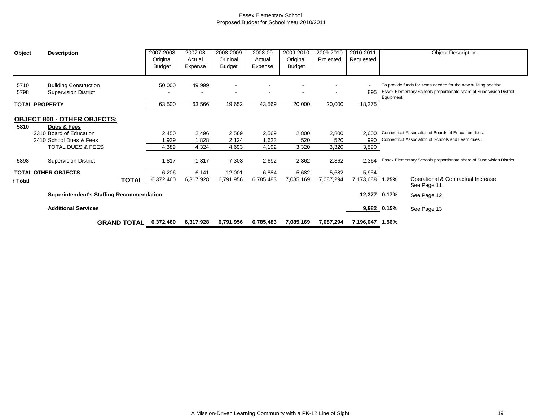| Object       | <b>Description</b>                                                           |                    | 2007-2008<br>Original<br><b>Budget</b> | 2007-08<br>Actual<br>Expense | 2008-2009<br>Original<br><b>Budget</b> | 2008-09<br>Actual<br>Expense | 2009-2010<br>Original<br>Budget | 2009-2010<br>Projected   | 2010-2011<br>Requested |              | <b>Object Description</b>                                                                                                                |
|--------------|------------------------------------------------------------------------------|--------------------|----------------------------------------|------------------------------|----------------------------------------|------------------------------|---------------------------------|--------------------------|------------------------|--------------|------------------------------------------------------------------------------------------------------------------------------------------|
| 5710<br>5798 | <b>Building Construction</b><br><b>Supervision District</b>                  |                    | 50,000                                 | 49,999                       | $\blacksquare$<br>$\blacksquare$       |                              | $\overline{\phantom{a}}$        | $\overline{\phantom{a}}$ | 895                    | Equipment    | To provide funds for items needed for the new building addition.<br>Essex Elementary Schools proportionate share of Supervision District |
|              | <b>TOTAL PROPERTY</b>                                                        |                    | 63,500                                 | 63,566                       | 19,652                                 | 43,569                       | 20,000                          | 20,000                   | 18,275                 |              |                                                                                                                                          |
| 5810         | <b>OBJECT 800 - OTHER OBJECTS:</b><br>Dues & Fees<br>2310 Board of Education |                    | 2,450                                  | 2,496                        | 2,569                                  | 2,569                        | 2,800                           | 2,800                    | 2,600                  |              | Connecticut Association of Boards of Education dues.                                                                                     |
|              | 2410 School Dues & Fees                                                      |                    | 1,939                                  | 1,828                        | 2,124                                  | 1,623                        | 520                             | 520                      | 990                    |              | Connecticut Association of Schools and Learn dues                                                                                        |
|              | <b>TOTAL DUES &amp; FEES</b>                                                 |                    | 4,389                                  | 4,324                        | 4,693                                  | 4,192                        | 3,320                           | 3,320                    | 3,590                  |              |                                                                                                                                          |
| 5898         | <b>Supervision District</b>                                                  |                    | 1,817                                  | 1,817                        | 7,308                                  | 2,692                        | 2,362                           | 2,362                    | 2,364                  |              | Essex Elementary Schools proportionate share of Supervision District                                                                     |
|              | <b>TOTAL OTHER OBJECTS</b>                                                   |                    | 6,206                                  | 6,141                        | 12,001                                 | 6,884                        | 5,682                           | 5,682                    | 5,954                  |              |                                                                                                                                          |
| I Total      |                                                                              | <b>TOTAL</b>       | 6,372,460                              | 6,317,928                    | 6,791,956                              | 6,785,483                    | 7,085,169                       | 7,087,294                | 7,173,688 1.25%        |              | Operational & Contractual Increase<br>See Page 11                                                                                        |
|              | <b>Superintendent's Staffing Recommendation</b>                              |                    |                                        |                              |                                        |                              |                                 |                          |                        | 12,377 0.17% | See Page 12                                                                                                                              |
|              | <b>Additional Services</b>                                                   |                    |                                        |                              |                                        |                              |                                 |                          |                        | 9,982 0.15%  | See Page 13                                                                                                                              |
|              |                                                                              | <b>GRAND TOTAL</b> | 6,372,460                              | 6,317,928                    | 6,791,956                              | 6,785,483                    | 7,085,169                       | 7,087,294                | 7,196,047 1.56%        |              |                                                                                                                                          |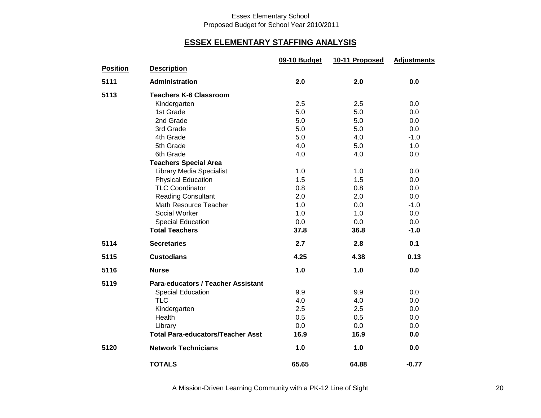### **ESSEX ELEMENTARY STAFFING ANALYSIS**

|                 |                                           | 09-10 Budget | 10-11 Proposed | <b>Adjustments</b> |
|-----------------|-------------------------------------------|--------------|----------------|--------------------|
| <b>Position</b> | <b>Description</b>                        |              |                |                    |
| 5111            | <b>Administration</b>                     | 2.0          | 2.0            | 0.0                |
| 5113            | <b>Teachers K-6 Classroom</b>             |              |                |                    |
|                 | Kindergarten                              | 2.5          | 2.5            | 0.0                |
|                 | 1st Grade                                 | 5.0          | 5.0            | 0.0                |
|                 | 2nd Grade                                 | 5.0          | 5.0            | 0.0                |
|                 | 3rd Grade                                 | 5.0          | 5.0            | 0.0                |
|                 | 4th Grade                                 | 5.0          | 4.0            | $-1.0$             |
|                 | 5th Grade                                 | 4.0          | 5.0            | 1.0                |
|                 | 6th Grade                                 | 4.0          | 4.0            | 0.0                |
|                 | <b>Teachers Special Area</b>              |              |                |                    |
|                 | <b>Library Media Specialist</b>           | 1.0          | 1.0            | 0.0                |
|                 | <b>Physical Education</b>                 | 1.5          | 1.5            | 0.0                |
|                 | <b>TLC Coordinator</b>                    | 0.8          | 0.8            | 0.0                |
|                 | <b>Reading Consultant</b>                 | 2.0          | 2.0            | 0.0                |
|                 | Math Resource Teacher                     | 1.0          | 0.0            | $-1.0$             |
|                 | Social Worker                             | 1.0          | 1.0            | 0.0                |
|                 | Special Education                         | 0.0          | 0.0            | 0.0                |
|                 | <b>Total Teachers</b>                     | 37.8         | 36.8           | $-1.0$             |
| 5114            | <b>Secretaries</b>                        | 2.7          | 2.8            | 0.1                |
| 5115            | <b>Custodians</b>                         | 4.25         | 4.38           | 0.13               |
| 5116            | <b>Nurse</b>                              | 1.0          | 1.0            | 0.0                |
| 5119            | <b>Para-educators / Teacher Assistant</b> |              |                |                    |
|                 | <b>Special Education</b>                  | 9.9          | 9.9            | 0.0                |
|                 | <b>TLC</b>                                | 4.0          | 4.0            | 0.0                |
|                 | Kindergarten                              | 2.5          | 2.5            | 0.0                |
|                 | Health                                    | 0.5          | 0.5            | 0.0                |
|                 | Library                                   | 0.0          | 0.0            | 0.0                |
|                 | <b>Total Para-educators/Teacher Asst</b>  | 16.9         | 16.9           | 0.0                |
| 5120            | <b>Network Technicians</b>                | 1.0          | 1.0            | 0.0                |
|                 | <b>TOTALS</b>                             | 65.65        | 64.88          | $-0.77$            |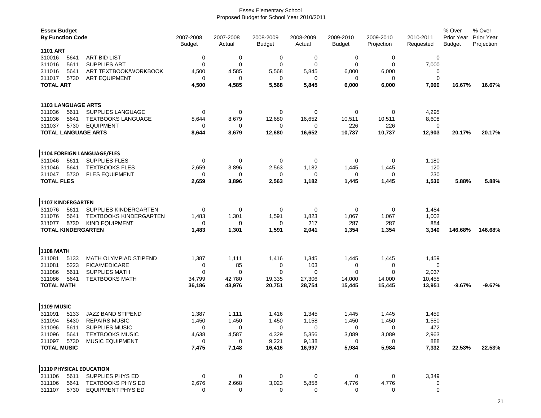| <b>Essex Budget</b><br><b>By Function Code</b> |              |                                   | 2007-2008<br><b>Budget</b> | 2007-2008<br>Actual  | 2008-2009<br><b>Budget</b> | 2008-2009<br>Actual | 2009-2010<br><b>Budget</b> | 2009-2010<br>Projection | 2010-2011<br>Requested | % Over<br>Prior Year<br><b>Budget</b> | % Over<br><b>Prior Year</b><br>Projection |
|------------------------------------------------|--------------|-----------------------------------|----------------------------|----------------------|----------------------------|---------------------|----------------------------|-------------------------|------------------------|---------------------------------------|-------------------------------------------|
| <b>1101 ART</b>                                |              |                                   |                            |                      |                            |                     |                            |                         |                        |                                       |                                           |
| 310016                                         | 5641         | <b>ART BID LIST</b>               | $\mathbf 0$                | $\pmb{0}$            | 0                          | 0                   | $\mathbf 0$                | 0                       | $\mathbf 0$            |                                       |                                           |
| 311016                                         | 5611         | <b>SUPPLIES ART</b>               | $\mathbf 0$                | $\mathbf 0$          | 0                          | 0                   | $\mathbf 0$                | 0                       | 7,000                  |                                       |                                           |
| 311016                                         | 5641         | ART TEXTBOOK/WORKBOOK             | 4,500                      | 4,585                | 5,568                      | 5,845               | 6,000                      | 6,000                   | 0                      |                                       |                                           |
| 311017                                         | 5730         | <b>ART EQUIPMENT</b>              | 0                          | 0                    | 0                          | 0                   | 0                          | 0                       | 0                      |                                       |                                           |
| <b>TOTAL ART</b>                               |              |                                   | 4,500                      | 4,585                | 5,568                      | 5,845               | 6,000                      | 6,000                   | 7,000                  | 16.67%                                | 16.67%                                    |
|                                                |              |                                   |                            |                      |                            |                     |                            |                         |                        |                                       |                                           |
| <b>1103 LANGUAGE ARTS</b>                      |              |                                   |                            |                      |                            |                     |                            |                         |                        |                                       |                                           |
| 311036                                         | 5611         | SUPPLIES LANGUAGE                 | 0                          | 0                    | 0                          | 0                   | $\mathbf 0$                | 0                       | 4,295                  |                                       |                                           |
| 311036                                         | 5641         | <b>TEXTBOOKS LANGUAGE</b>         | 8,644                      | 8,679                |                            | 16,652              |                            |                         |                        |                                       |                                           |
|                                                |              | <b>EQUIPMENT</b>                  |                            |                      | 12,680<br>0                |                     | 10,511                     | 10,511                  | 8,608                  |                                       |                                           |
| 311037                                         | 5730         | <b>TOTAL LANGUAGE ARTS</b>        | 0<br>8,644                 | 0<br>8,679           | 12,680                     | 0<br>16,652         | 226<br>10,737              | 226<br>10,737           | 0<br>12,903            | 20.17%                                | 20.17%                                    |
|                                                |              |                                   |                            |                      |                            |                     |                            |                         |                        |                                       |                                           |
|                                                |              | <b>1104 FOREIGN LANGUAGE/FLES</b> |                            |                      |                            |                     |                            |                         |                        |                                       |                                           |
|                                                |              |                                   |                            |                      |                            |                     |                            |                         |                        |                                       |                                           |
| 311046                                         | 5611         | <b>SUPPLIES FLES</b>              | 0                          | 0                    | 0                          | 0                   | 0                          | 0                       | 1,180                  |                                       |                                           |
| 311046                                         | 5641         | <b>TEXTBOOKS FLES</b>             | 2,659                      | 3,896                | 2,563                      | 1,182               | 1,445                      | 1,445                   | 120                    |                                       |                                           |
| 311047                                         | 5730         | <b>FLES EQUIPMENT</b>             | 0                          | 0                    | 0                          | 0                   | 0                          | 0                       | 230                    |                                       |                                           |
| <b>TOTAL FLES</b>                              |              |                                   | 2,659                      | 3,896                | 2,563                      | 1,182               | 1,445                      | 1,445                   | 1,530                  | 5.88%                                 | 5.88%                                     |
| <b>1107 KINDERGARTEN</b>                       |              |                                   |                            |                      |                            |                     |                            |                         |                        |                                       |                                           |
| 311076                                         | 5611         | SUPPLIES KINDERGARTEN             | $\mathbf 0$                | 0                    | 0                          | 0                   | 0                          | 0                       | 1,484                  |                                       |                                           |
| 311076                                         | 5641         | <b>TEXTBOOKS KINDERGARTEN</b>     | 1,483                      | 1,301                | 1,591                      | 1,823               |                            | 1,067                   | 1,002                  |                                       |                                           |
|                                                |              |                                   |                            |                      |                            |                     | 1,067                      |                         |                        |                                       |                                           |
| 311077                                         | 5730         | <b>KIND EQUIPMENT</b>             | 0                          | 0                    | 0                          | 217                 | 287                        | 287                     | 854                    |                                       |                                           |
| <b>TOTAL KINDERGARTEN</b>                      |              |                                   | 1,483                      | 1,301                | 1,591                      | 2,041               | 1,354                      | 1,354                   | 3,340                  | 146.68%                               | 146.68%                                   |
| <b>1108 MATH</b>                               |              |                                   |                            |                      |                            |                     |                            |                         |                        |                                       |                                           |
| 311081                                         | 5133         | MATH OLYMPIAD STIPEND             | 1,387                      | 1,111                | 1,416                      | 1,345               | 1,445                      | 1,445                   | 1,459                  |                                       |                                           |
| 311081                                         | 5223         | <b>FICA/MEDICARE</b>              | 0                          | 85                   | 0                          | 103                 | 0                          | 0                       | 0                      |                                       |                                           |
| 311086                                         | 5611         | <b>SUPPLIES MATH</b>              | 0                          | 0                    | 0                          | 0                   | 0                          | 0                       | 2,037                  |                                       |                                           |
| 311086                                         | 5641         | <b>TEXTBOOKS MATH</b>             | 34,799                     | 42,780               | 19,335                     | 27,306              |                            | 14,000                  | 10,455                 |                                       |                                           |
| <b>TOTAL MATH</b>                              |              |                                   |                            |                      |                            |                     | 14,000                     |                         |                        |                                       | $-9.67%$                                  |
|                                                |              |                                   | 36,186                     | 43,976               | 20,751                     | 28,754              | 15,445                     | 15,445                  | 13,951                 | $-9.67%$                              |                                           |
| <b>1109 MUSIC</b>                              |              |                                   |                            |                      |                            |                     |                            |                         |                        |                                       |                                           |
| 311091                                         | 5133         | <b>JAZZ BAND STIPEND</b>          | 1,387                      | 1,111                | 1,416                      | 1,345               | 1,445                      | 1,445                   | 1,459                  |                                       |                                           |
| 311094                                         | 5430         | <b>REPAIRS MUSIC</b>              | 1,450                      | 1,450                | 1,450                      | 1,158               | 1,450                      | 1,450                   | 1,550                  |                                       |                                           |
| 311096                                         | 5611         | <b>SUPPLIES MUSIC</b>             | 0                          | 0                    | 0                          | 0                   | 0                          | 0                       | 472                    |                                       |                                           |
| 311096                                         |              | <b>TEXTBOOKS MUSIC</b>            | 4,638                      | 4,587                | 4,329                      | 5,356               | 3,089                      | 3,089                   | 2,963                  |                                       |                                           |
| 311097                                         | 5641<br>5730 | MUSIC EQUIPMENT                   | 0                          | 0                    | 9,221                      | 9,138               |                            | 0                       | 888                    |                                       |                                           |
|                                                |              |                                   |                            |                      |                            |                     | 0                          |                         |                        |                                       |                                           |
| <b>TOTAL MUSIC</b>                             |              |                                   | 7,475                      | 7,148                | 16,416                     | 16,997              | 5,984                      | 5,984                   | 7,332                  | 22.53%                                | 22.53%                                    |
|                                                |              | 1110 PHYSICAL EDUCATION           |                            |                      |                            |                     |                            |                         |                        |                                       |                                           |
| 311106                                         |              | SUPPLIES PHYS ED                  |                            |                      |                            |                     |                            |                         |                        |                                       |                                           |
| 311106                                         | 5611<br>5641 | <b>TEXTBOOKS PHYS ED</b>          | $\mathbf 0$<br>2,676       | $\mathbf 0$<br>2,668 | 0<br>3,023                 | 0<br>5,858          | 0<br>4,776                 | 0<br>4,776              | 3,349<br>0             |                                       |                                           |
| 311107                                         |              | 5730 EQUIPMENT PHYS ED            | $\mathbf 0$                | 0                    | $\Omega$                   | 0                   | 0                          | 0                       | $\mathbf 0$            |                                       |                                           |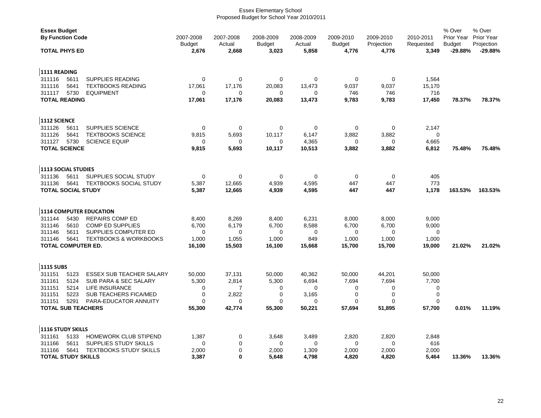| <b>Essex Budget</b><br><b>By Function Code</b> |                                  | 2007-2008<br><b>Budget</b> | 2007-2008<br>Actual | 2008-2009<br><b>Budget</b> | 2008-2009<br>Actual | 2009-2010<br><b>Budget</b> | 2009-2010<br>Projection | 2010-2011<br>Requested | % Over<br>Prior Year<br><b>Budget</b> | % Over<br><b>Prior Year</b><br>Projection |
|------------------------------------------------|----------------------------------|----------------------------|---------------------|----------------------------|---------------------|----------------------------|-------------------------|------------------------|---------------------------------------|-------------------------------------------|
| <b>TOTAL PHYS ED</b>                           |                                  | 2,676                      | 2,668               | 3,023                      | 5,858               | 4,776                      | 4,776                   | 3,349                  | $-29.88%$                             | $-29.88%$                                 |
| 1111 READING                                   |                                  |                            |                     |                            |                     |                            |                         |                        |                                       |                                           |
| 5611<br>311116                                 | <b>SUPPLIES READING</b>          | 0                          | 0                   | 0                          | 0                   | 0                          | 0                       | 1,564                  |                                       |                                           |
| 311116<br>5641                                 | <b>TEXTBOOKS READING</b>         | 17,061                     | 17,176              | 20,083                     | 13,473              | 9,037                      | 9,037                   | 15,170                 |                                       |                                           |
| 5730<br>311117                                 | <b>EQUIPMENT</b>                 | $\Omega$                   | $\Omega$            | $\Omega$                   | $\Omega$            | 746                        | 746                     | 716                    |                                       |                                           |
| <b>TOTAL READING</b>                           |                                  | 17,061                     | 17,176              | 20,083                     | 13,473              | 9,783                      | 9,783                   | 17,450                 | 78.37%                                | 78.37%                                    |
| 1112 SCIENCE                                   |                                  |                            |                     |                            |                     |                            |                         |                        |                                       |                                           |
| 311126<br>5611                                 | SUPPLIES SCIENCE                 | $\mathbf 0$                | $\mathbf 0$         | $\mathbf 0$                | $\mathbf 0$         | 0                          | $\mathbf 0$             | 2,147                  |                                       |                                           |
| 5641<br>311126                                 | <b>TEXTBOOKS SCIENCE</b>         | 9,815                      | 5,693               | 10,117                     | 6,147               | 3,882                      | 3,882                   | 0                      |                                       |                                           |
| 5730<br>311127                                 | <b>SCIENCE EQUIP</b>             | $\Omega$                   | 0                   | 0                          | 4,365               | 0                          | 0                       | 4,665                  |                                       |                                           |
| <b>TOTAL SCIENCE</b>                           |                                  | 9,815                      | 5,693               | 10,117                     | 10,513              | 3,882                      | 3,882                   | 6,812                  | 75.48%                                | 75.48%                                    |
| 1113 SOCIAL STUDIES                            |                                  |                            |                     |                            |                     |                            |                         |                        |                                       |                                           |
| 311136<br>5611                                 | SUPPLIES SOCIAL STUDY            | $\mathbf 0$                | $\mathbf 0$         | $\mathbf 0$                | $\mathbf 0$         | $\mathbf 0$                | $\mathbf 0$             | 405                    |                                       |                                           |
| 5641<br>311136                                 | <b>TEXTBOOKS SOCIAL STUDY</b>    | 5,387                      | 12,665              | 4,939                      | 4,595               | 447                        | 447                     | 773                    |                                       |                                           |
| <b>TOTAL SOCIAL STUDY</b>                      |                                  | 5,387                      | 12,665              | 4,939                      | 4,595               | 447                        | 447                     | 1,178                  | 163.53%                               | 163.53%                                   |
| 1114 COMPUTER EDUCATION                        |                                  |                            |                     |                            |                     |                            |                         |                        |                                       |                                           |
| 5430<br>311144                                 | <b>REPAIRS COMP ED</b>           | 8,400                      | 8,269               | 8,400                      | 6,231               | 8,000                      | 8,000                   | 9,000                  |                                       |                                           |
| 311146<br>5610                                 | COMP ED SUPPLIES                 | 6,700                      | 6,179               | 6,700                      | 8,588               | 6,700                      | 6,700                   | 9,000                  |                                       |                                           |
| 5611<br>311146                                 | SUPPLIES COMPUTER ED             | $\Omega$                   | 0                   | 0                          | $\mathbf 0$         | 0                          | 0                       | 0                      |                                       |                                           |
| 311146<br>5641                                 | <b>TEXTBOOKS &amp; WORKBOOKS</b> | 1,000                      | 1,055               | 1,000                      | 849                 | 1,000                      | 1,000                   | 1,000                  |                                       |                                           |
| TOTAL COMPUTER ED.                             |                                  | 16,100                     | 15,503              | 16,100                     | 15,668              | 15,700                     | 15,700                  | 19,000                 | 21.02%                                | 21.02%                                    |
| <b>1115 SUBS</b>                               |                                  |                            |                     |                            |                     |                            |                         |                        |                                       |                                           |
| 5123<br>311151                                 | <b>ESSEX SUB TEACHER SALARY</b>  | 50,000                     | 37,131              | 50,000                     | 40,362              | 50,000                     | 44,201                  | 50,000                 |                                       |                                           |
| 5124<br>311161                                 | SUB PARA & SEC SALARY            | 5,300                      | 2,814               | 5,300                      | 6,694               | 7,694                      | 7,694                   | 7,700                  |                                       |                                           |
| 5214<br>311151                                 | <b>LIFE INSURANCE</b>            | 0                          | $\overline{7}$      | 0                          | $\mathbf 0$         | 0                          | 0                       | 0                      |                                       |                                           |
| 5223<br>311151                                 | <b>SUB TEACHERS FICA/MED</b>     | $\mathbf 0$                | 2,822               | $\mathbf 0$                | 3,165               | 0                          | $\mathbf 0$             | 0                      |                                       |                                           |
| 5291<br>311151                                 | PARA-EDUCATOR ANNUITY            | $\Omega$                   | $\Omega$            | $\Omega$                   | $\Omega$            | $\Omega$                   | $\Omega$                | $\Omega$               |                                       |                                           |
| <b>TOTAL SUB TEACHERS</b>                      |                                  | 55,300                     | 42,774              | 55,300                     | 50,221              | 57,694                     | 51,895                  | 57,700                 | 0.01%                                 | 11.19%                                    |
| 1116 STUDY SKILLS                              |                                  |                            |                     |                            |                     |                            |                         |                        |                                       |                                           |
| 5133<br>311161                                 | HOMEWORK CLUB STIPEND            | 1,387                      | 0                   | 3,648                      | 3,489               | 2,820                      | 2,820                   | 2,848                  |                                       |                                           |
| 311166<br>5611                                 | <b>SUPPLIES STUDY SKILLS</b>     | 0                          | 0                   | 0                          | 0                   | 0                          | 0                       | 616                    |                                       |                                           |
| 5641<br>311166                                 | <b>TEXTBOOKS STUDY SKILLS</b>    | 2,000                      | 0                   | 2,000                      | 1,309               | 2,000                      | 2,000                   | 2,000                  |                                       |                                           |
| <b>TOTAL STUDY SKILLS</b>                      |                                  | 3,387                      | $\bf{0}$            | 5,648                      | 4,798               | 4,820                      | 4,820                   | 5,464                  | 13.36%                                | 13.36%                                    |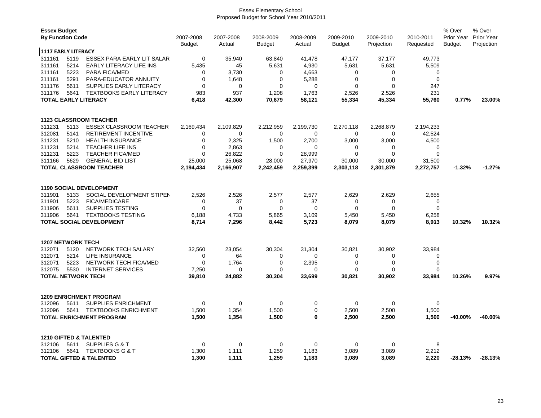| <b>Essex Budget</b><br><b>By Function Code</b> |                             | 2007-2008                                                           | 2007-2008            | 2008-2009    | 2008-2009       | 2009-2010       | 2009-2010       | 2010-2011       | % Over<br>Prior Year | % Over<br><b>Prior Year</b> |            |
|------------------------------------------------|-----------------------------|---------------------------------------------------------------------|----------------------|--------------|-----------------|-----------------|-----------------|-----------------|----------------------|-----------------------------|------------|
|                                                |                             |                                                                     | Budget               | Actual       | <b>Budget</b>   | Actual          | <b>Budget</b>   | Projection      | Requested            | <b>Budget</b>               | Projection |
| <b>1117 EARLY LITERACY</b>                     |                             |                                                                     |                      |              |                 |                 |                 |                 |                      |                             |            |
| 311161<br>311161                               | 5119<br>5214                | <b>ESSEX PARA EARLY LIT SALAR</b><br><b>EARLY LITERACY LIFE INS</b> | $\mathbf 0$<br>5,435 | 35,940<br>45 | 63,840<br>5,631 | 41,478<br>4,930 | 47,177<br>5,631 | 37,177<br>5,631 | 49,773<br>5,509      |                             |            |
| 311161                                         | 5223                        | <b>PARA FICA/MED</b>                                                | 0                    | 3,730        | $\mathbf 0$     | 4,663           | 0               | 0               | 0                    |                             |            |
| 311161                                         | 5291                        | PARA-EDUCATOR ANNUITY                                               | 0                    | 1,648        | $\mathbf 0$     | 5,288           | 0               | $\mathbf 0$     | 0                    |                             |            |
| 311176                                         | 5611                        | SUPPLIES EARLY LITERACY                                             | $\mathbf 0$          | 0            | $\mathbf 0$     | $\mathbf 0$     | 0               | $\mathbf 0$     | 247                  |                             |            |
| 311176                                         | 5641                        | <b>TEXTBOOKS EARLY LITERACY</b>                                     | 983                  | 937          | 1,208           | 1,763           | 2,526           | 2,526           | 231                  |                             |            |
|                                                | <b>TOTAL EARLY LITERACY</b> |                                                                     |                      | 42,300       | 70,679          | 58,121          | 55,334          | 45,334          | 55,760               | 0.77%                       | 23.00%     |
|                                                |                             |                                                                     |                      |              |                 |                 |                 |                 |                      |                             |            |
|                                                |                             | <b>1123 CLASSROOM TEACHER</b>                                       |                      |              |                 |                 |                 |                 |                      |                             |            |
| 311231                                         | 5113                        | <b>ESSEX CLASSROOM TEACHER</b>                                      | 2,169,434            | 2,109,829    | 2,212,959       | 2,199,730       | 2,270,118       | 2,268,879       | 2,194,233            |                             |            |
| 312081                                         | 5141                        | RETIREMENT INCENTIVE                                                | 0                    | 0            | $\mathbf 0$     | 0               | 0               | 0               | 42,524               |                             |            |
| 311231                                         | 5210                        | <b>HEALTH INSURANCE</b>                                             | 0                    | 2,325        | 1,500           | 2,700           | 3,000           | 3,000           | 4,500                |                             |            |
| 311231                                         | 5214                        | <b>TEACHER LIFE INS</b>                                             | $\mathbf 0$          | 2,863        | $\mathbf 0$     | $\Omega$        | 0               | 0               | 0                    |                             |            |
| 311231                                         | 5223                        | <b>TEACHER FICA/MED</b>                                             | $\mathbf 0$          | 26,822       | $\mathbf 0$     | 28,999          | $\mathbf 0$     | $\mathbf 0$     | $\mathbf 0$          |                             |            |
| 311166                                         | 5629                        | <b>GENERAL BID LIST</b>                                             | 25,000               | 25,068       | 28,000          | 27,970          | 30,000          | 30,000          | 31,500               |                             |            |
|                                                |                             | <b>TOTAL CLASSROOM TEACHER</b>                                      | 2,194,434            | 2,166,907    | 2,242,459       | 2,259,399       | 2,303,118       | 2,301,879       | 2,272,757            | $-1.32%$                    | $-1.27%$   |
|                                                |                             |                                                                     |                      |              |                 |                 |                 |                 |                      |                             |            |
|                                                |                             | <b>1190 SOCIAL DEVELOPMENT</b>                                      |                      |              |                 |                 |                 |                 |                      |                             |            |
| 311901                                         | 5133                        | SOCIAL DEVELOPMENT STIPEN                                           | 2,526                | 2,526        | 2,577           | 2,577           | 2,629           | 2,629           | 2,655                |                             |            |
| 311901                                         | 5223                        | <b>FICA/MEDICARE</b>                                                | $\mathbf 0$          | 37           | $\mathbf 0$     | 37              | 0               | 0               | 0                    |                             |            |
| 311906                                         | 5611                        | <b>SUPPLIES TESTING</b>                                             | $\mathbf 0$          | $\mathbf 0$  | $\mathbf 0$     | $\mathbf 0$     | $\mathbf 0$     | $\mathbf 0$     | $\mathbf 0$          |                             |            |
| 311906                                         | 5641                        | <b>TEXTBOOKS TESTING</b>                                            | 6,188                | 4,733        | 5,865           | 3,109           | 5,450           | 5,450           | 6,258                |                             |            |
|                                                |                             | <b>TOTAL SOCIAL DEVELOPMENT</b>                                     | 8,714                | 7,296        | 8,442           | 5,723           | 8,079           | 8,079           | 8,913                | 10.32%                      | 10.32%     |
| <b>1207 NETWORK TECH</b>                       |                             |                                                                     |                      |              |                 |                 |                 |                 |                      |                             |            |
| 312071                                         | 5120                        | NETWORK TECH SALARY                                                 | 32,560               | 23,054       | 30,304          | 31,304          | 30,821          | 30,902          | 33,984               |                             |            |
| 312071                                         | 5214                        | <b>LIFE INSURANCE</b>                                               | 0                    | 64           | 0               | ∩               | 0               | 0               | 0                    |                             |            |
| 312071                                         | 5223                        | NETWORK TECH FICA/MED                                               | $\mathbf 0$          | 1,764        | $\mathbf 0$     | 2,395           | 0               | $\mathbf 0$     | $\mathbf 0$          |                             |            |
| 312075                                         | 5530                        | <b>INTERNET SERVICES</b>                                            | 7,250                | 0            | $\Omega$        | $\Omega$        | 0               | $\Omega$        | 0                    |                             |            |
|                                                |                             | <b>TOTAL NETWORK TECH</b>                                           | 39,810               | 24,882       | 30,304          | 33,699          | 30,821          | 30,902          | 33,984               | 10.26%                      | 9.97%      |
|                                                |                             |                                                                     |                      |              |                 |                 |                 |                 |                      |                             |            |
|                                                |                             | <b>1209 ENRICHMENT PROGRAM</b>                                      |                      |              |                 |                 |                 |                 |                      |                             |            |
| 312096                                         | 5611                        | <b>SUPPLIES ENRICHMENT</b>                                          | $\mathbf 0$          | 0            | $\mathbf 0$     | 0               | 0               | 0               | 0                    |                             |            |
| 312096                                         | 5641                        | <b>TEXTBOOKS ENRICHMENT</b>                                         | 1,500                | 1,354        | 1,500           | $\mathbf 0$     | 2,500           | 2,500           | 1,500                |                             |            |
|                                                |                             | <b>TOTAL ENRICHMENT PROGRAM</b>                                     | 1,500                | 1,354        | 1,500           | $\bf{0}$        | 2,500           | 2,500           | 1,500                | -40.00%                     | -40.00%    |
|                                                |                             |                                                                     |                      |              |                 |                 |                 |                 |                      |                             |            |
|                                                |                             | <b>1210 GIFTED &amp; TALENTED</b>                                   |                      |              |                 |                 |                 |                 |                      |                             |            |
| 312106                                         | 5611                        | SUPPLIES G & T                                                      | $\Omega$             | $\mathbf 0$  | 0               | 0               | 0               | 0               | 8                    |                             |            |
| 312106                                         | 5641                        | <b>TEXTBOOKS G &amp; T</b>                                          | 1,300                | 1,111        | 1,259           | 1,183           | 3,089           | 3,089           | 2,212                |                             |            |
|                                                |                             | <b>TOTAL GIFTED &amp; TALENTED</b>                                  | 1,300                | 1,111        | 1,259           | 1,183           | 3.089           | 3.089           | 2,220                | $-28.13%$                   | -28.13%    |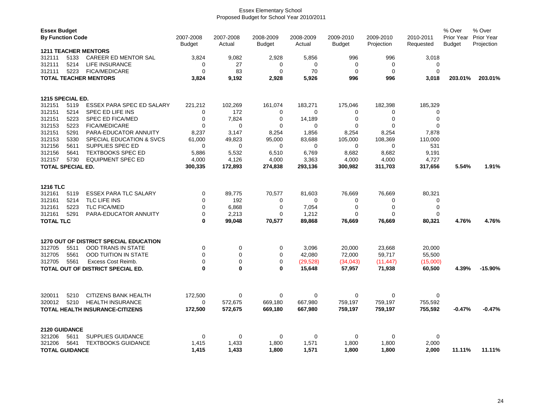|                                    | <b>Essex Budget</b><br><b>By Function Code</b>                                                                                                               |                                          | 2007-2008<br><b>Budget</b> | 2007-2008<br>Actual        | 2008-2009<br><b>Budget</b> | 2008-2009<br>Actual       | 2009-2010<br><b>Budget</b>     | 2009-2010<br>Projection                  | 2010-2011<br>Requested             | % Over<br>Prior Year<br><b>Budget</b> | % Over<br>Prior Year<br>Projection |
|------------------------------------|--------------------------------------------------------------------------------------------------------------------------------------------------------------|------------------------------------------|----------------------------|----------------------------|----------------------------|---------------------------|--------------------------------|------------------------------------------|------------------------------------|---------------------------------------|------------------------------------|
| 312111<br>312111<br>312111         | <b>1211 TEACHER MENTORS</b><br>5133<br>CAREER ED MENTOR SAL<br><b>LIFE INSURANCE</b><br>5214<br>5223<br><b>FICA/MEDICARE</b><br><b>TOTAL TEACHER MENTORS</b> |                                          |                            | 9,082<br>27<br>83<br>9,192 | 2,928<br>0<br>0<br>2,928   | 5,856<br>0<br>70<br>5,926 | 996<br>0<br>$\mathbf 0$<br>996 | 996<br>$\mathbf 0$<br>$\mathbf 0$<br>996 | 3,018<br>0<br>$\mathbf 0$<br>3,018 | 203.01%                               | 203.01%                            |
| 1215 SPECIAL ED.                   |                                                                                                                                                              |                                          |                            |                            |                            |                           |                                |                                          |                                    |                                       |                                    |
| 312151                             | 5119                                                                                                                                                         | ESSEX PARA SPEC ED SALARY                | 221,212                    | 102,269                    | 161,074                    | 183,271                   | 175,046                        | 182,398                                  | 185,329                            |                                       |                                    |
| 312151                             | 5214                                                                                                                                                         | SPEC ED LIFE INS                         | 0                          | 172                        | 0                          | $\mathbf 0$               | 0                              | 0                                        | 0                                  |                                       |                                    |
| 312151                             | 5223                                                                                                                                                         | <b>SPEC ED FICA/MED</b>                  | $\mathbf 0$                | 7,824                      | $\mathbf 0$                | 14,189                    | 0                              | $\mathbf 0$                              | $\mathbf 0$                        |                                       |                                    |
| 312153                             | 5223                                                                                                                                                         | <b>FICA/MEDICARE</b>                     | $\Omega$                   | 0                          | 0                          | $\Omega$                  | $\Omega$                       | 0                                        | $\Omega$                           |                                       |                                    |
| 312151                             | 5291                                                                                                                                                         | PARA-EDUCATOR ANNUITY                    | 8,237                      | 3,147                      | 8,254                      | 1,856                     | 8,254                          | 8,254                                    | 7,878                              |                                       |                                    |
| 312153                             | 5330                                                                                                                                                         | SPECIAL EDUCATION & SVCS                 | 61,000                     | 49,823                     | 95,000                     | 83,688                    | 105,000                        | 108,369                                  | 110,000                            |                                       |                                    |
| 312156                             | 5611                                                                                                                                                         | SUPPLIES SPEC ED                         | 0                          | 0                          | 0                          | $\Omega$                  | $\Omega$                       | $\Omega$                                 | 531                                |                                       |                                    |
| 312156                             | 5641                                                                                                                                                         | <b>TEXTBOOKS SPEC ED</b>                 | 5,886                      | 5,532                      | 6,510                      | 6,769                     | 8,682                          | 8,682                                    | 9,191                              |                                       |                                    |
| 312157<br><b>TOTAL SPECIAL ED.</b> | 5730                                                                                                                                                         | <b>EQUIPMENT SPEC ED</b>                 | 4,000<br>300,335           | 4,126<br>172,893           | 4,000<br>274,838           | 3,363                     | 4,000                          | 4,000                                    | 4,727<br>317,656                   | 5.54%                                 | 1.91%                              |
|                                    |                                                                                                                                                              |                                          |                            |                            |                            | 293,136                   | 300,982                        | 311,703                                  |                                    |                                       |                                    |
| <b>1216 TLC</b>                    |                                                                                                                                                              |                                          |                            |                            |                            |                           |                                |                                          |                                    |                                       |                                    |
| 312161                             | 5119                                                                                                                                                         | <b>ESSEX PARA TLC SALARY</b>             | 0                          | 89,775                     | 70,577                     | 81,603                    | 76,669                         | 76,669                                   | 80,321                             |                                       |                                    |
| 312161                             | 5214                                                                                                                                                         | TLC LIFE INS                             | 0                          | 192                        | 0                          | 0                         | 0                              | 0                                        | 0                                  |                                       |                                    |
| 312161                             | 5223                                                                                                                                                         | <b>TLC FICA/MED</b>                      | 0                          | 6,868                      | 0                          | 7,054                     | 0                              | $\mathbf 0$                              | $\mathbf 0$                        |                                       |                                    |
| 312161                             | 5291                                                                                                                                                         | PARA-EDUCATOR ANNUITY                    | 0                          | 2,213                      | 0                          | 1,212                     | $\Omega$                       | $\Omega$                                 | $\Omega$                           |                                       |                                    |
| <b>TOTAL TLC</b>                   |                                                                                                                                                              |                                          | $\bf{0}$                   | 99,048                     | 70,577                     | 89,868                    | 76,669                         | 76,669                                   | 80,321                             | 4.76%                                 | 4.76%                              |
|                                    |                                                                                                                                                              | 1270 OUT OF DISTRICT SPECIAL EDUCATION   |                            |                            |                            |                           |                                |                                          |                                    |                                       |                                    |
| 312705                             | 5511                                                                                                                                                         | <b>OOD TRANS IN STATE</b>                | 0                          | 0                          | 0                          | 3,096                     | 20,000                         | 23,668                                   | 20,000                             |                                       |                                    |
| 312705                             | 5561                                                                                                                                                         | <b>OOD TUITION IN STATE</b>              | $\Omega$                   | $\mathbf 0$                | 0                          | 42,080                    | 72,000                         | 59,717                                   | 55,500                             |                                       |                                    |
| 312705                             | 5561                                                                                                                                                         | Excess Cost Reimb.                       | 0                          | 0                          | 0                          | (29, 528)                 | (34, 043)                      | (11, 447)                                | (15,000)                           |                                       |                                    |
|                                    |                                                                                                                                                              | <b>TOTAL OUT OF DISTRICT SPECIAL ED.</b> | $\bf{0}$                   | $\mathbf 0$                | $\bf{0}$                   | 15,648                    | 57,957                         | 71,938                                   | 60,500                             | 4.39%                                 | $-15.90%$                          |
|                                    |                                                                                                                                                              |                                          |                            |                            |                            |                           |                                |                                          |                                    |                                       |                                    |
| 320011                             | 5210                                                                                                                                                         | <b>CITIZENS BANK HEALTH</b>              | 172.500                    | $\mathbf 0$                | 0                          | $\Omega$                  | 0                              | $\mathbf 0$                              | 0                                  |                                       |                                    |
| 320012                             | 5210                                                                                                                                                         | <b>HEALTH INSURANCE</b>                  | 0                          | 572,675                    | 669,180                    | 667,980                   | 759,197                        | 759,197                                  | 755,592                            |                                       |                                    |
|                                    |                                                                                                                                                              | <b>TOTAL HEALTH INSURANCE-CITIZENS</b>   | 172,500                    | 572,675                    | 669,180                    | 667,980                   | 759,197                        | 759,197                                  | 755,592                            | $-0.47%$                              | $-0.47%$                           |
| 2120 GUIDANCE                      |                                                                                                                                                              |                                          |                            |                            |                            |                           |                                |                                          |                                    |                                       |                                    |
| 321206                             | 5611                                                                                                                                                         | <b>SUPPLIES GUIDANCE</b>                 | $\mathbf 0$                | $\mathbf 0$                | 0                          | $\mathbf 0$               | $\mathbf 0$                    | $\mathbf 0$                              | $\mathbf 0$                        |                                       |                                    |
| 321206                             | 5641                                                                                                                                                         | <b>TEXTBOOKS GUIDANCE</b>                | 1,415                      | 1,433                      | 1,800                      | 1,571                     | 1,800                          | 1,800                                    | 2,000                              |                                       |                                    |
| <b>TOTAL GUIDANCE</b>              |                                                                                                                                                              |                                          | 1,415                      | 1,433                      | 1,800                      | 1,571                     | 1,800                          | 1,800                                    | 2,000                              | 11.11%                                | 11.11%                             |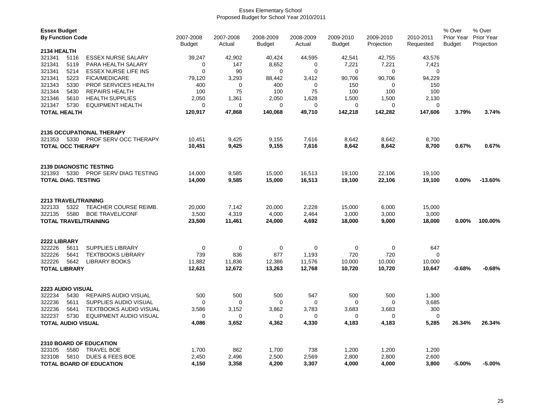| <b>Essex Budget</b><br><b>By Function Code</b> |      |                                  | 2007-2008<br><b>Budget</b> | 2007-2008<br>Actual | 2008-2009<br>2008-2009<br>2009-2010<br>2009-2010<br>Actual<br><b>Budget</b><br>Projection<br>Budget |             | 2010-2011<br>Requested | % Over<br>Prior Year<br><b>Budget</b> | % Over<br><b>Prior Year</b><br>Projection |          |           |
|------------------------------------------------|------|----------------------------------|----------------------------|---------------------|-----------------------------------------------------------------------------------------------------|-------------|------------------------|---------------------------------------|-------------------------------------------|----------|-----------|
| <b>2134 HEALTH</b>                             |      |                                  |                            |                     |                                                                                                     |             |                        |                                       |                                           |          |           |
| 321341                                         | 5116 | <b>ESSEX NURSE SALARY</b>        | 39,247                     | 42,902              | 40,424                                                                                              | 44,595      | 42,541                 | 42,755                                | 43,576                                    |          |           |
| 321341                                         | 5119 | PARA HEALTH SALARY               | 0                          | 147                 | 8,652                                                                                               | 0           | 7,221                  | 7,221                                 | 7,421                                     |          |           |
| 321341                                         | 5214 | <b>ESSEX NURSE LIFE INS</b>      | $\mathbf 0$                | 90                  | 0                                                                                                   | $\mathbf 0$ | 0                      | 0                                     | 0                                         |          |           |
| 321341                                         | 5223 | <b>FICA/MEDICARE</b>             | 79,120                     | 3,293               | 88,442                                                                                              | 3,412       | 90,706                 | 90,706                                | 94,229                                    |          |           |
| 321343                                         | 5330 | PROF SERVICES HEALTH             | 400                        | 0                   | 400                                                                                                 | 0           | 150                    | 0                                     | 150                                       |          |           |
| 321344                                         | 5430 | <b>REPAIRS HEALTH</b>            | 100                        | 75                  | 100                                                                                                 | 75          | 100                    | 100                                   | 100                                       |          |           |
| 321346                                         | 5610 | <b>HEALTH SUPPLIES</b>           | 2,050                      | 1,361               | 2,050                                                                                               | 1,628       | 1,500                  | 1,500                                 | 2,130                                     |          |           |
| 321347                                         | 5730 | <b>EQUIPMENT HEALTH</b>          | $\mathbf 0$                | $\mathbf 0$         | 0                                                                                                   | $\Omega$    | $\Omega$               | $\Omega$                              | $\mathbf 0$                               |          |           |
| <b>TOTAL HEALTH</b>                            |      |                                  | 120,917                    | 47,868              | 140,068                                                                                             | 49,710      | 142,218                | 142,282                               | 147,606                                   | 3.79%    | 3.74%     |
|                                                |      | <b>2135 OCCUPATIONAL THERAPY</b> |                            |                     |                                                                                                     |             |                        |                                       |                                           |          |           |
| 321353                                         | 5330 | PROF SERV OCC THERAPY            | 10,451                     | 9,425               | 9,155                                                                                               | 7,616       | 8,642                  | 8,642                                 | 8,700                                     |          |           |
| <b>TOTAL OCC THERAPY</b>                       |      |                                  | 10,451                     | 9,425               | 9,155                                                                                               | 7,616       | 8,642                  | 8,642                                 | 8,700                                     | 0.67%    | 0.67%     |
|                                                |      | <b>2139 DIAGNOSTIC TESTING</b>   |                            |                     |                                                                                                     |             |                        |                                       |                                           |          |           |
| 321393                                         | 5330 | PROF SERV DIAG TESTING           | 14,000                     | 9,585               | 15,000                                                                                              | 16,513      | 19,100                 | 22,106                                | 19,100                                    |          |           |
| <b>TOTAL DIAG. TESTING</b>                     |      |                                  | 14,000                     | 9,585               | 15,000                                                                                              | 16,513      | 19,100                 | 22,106                                | 19,100                                    | $0.00\%$ | $-13.60%$ |
|                                                |      |                                  |                            |                     |                                                                                                     |             |                        |                                       |                                           |          |           |
| <b>2213 TRAVEL/TRAINING</b>                    |      |                                  |                            |                     |                                                                                                     |             |                        |                                       |                                           |          |           |
| 322133                                         | 5322 | <b>TEACHER COURSE REIMB.</b>     | 20,000                     | 7,142               | 20,000                                                                                              | 2,228       | 15,000                 | 6,000                                 | 15,000                                    |          |           |
| 322135                                         | 5580 | <b>BOE TRAVEL/CONF</b>           | 3,500                      | 4,319               | 4,000                                                                                               | 2,464       | 3,000                  | 3,000                                 | 3,000                                     |          |           |
|                                                |      | <b>TOTAL TRAVEL/TRAINING</b>     | 23,500                     | 11,461              | 24,000                                                                                              | 4,692       | 18,000                 | 9,000                                 | 18,000                                    | 0.00%    | 100.00%   |
| <b>2222 LIBRARY</b>                            |      |                                  |                            |                     |                                                                                                     |             |                        |                                       |                                           |          |           |
| 322226                                         | 5611 | <b>SUPPLIES LIBRARY</b>          | $\mathbf 0$                | $\mathbf 0$         | $\mathbf 0$                                                                                         | $\mathbf 0$ | $\mathbf 0$            | $\mathbf 0$                           | 647                                       |          |           |
| 322226                                         | 5641 | <b>TEXTBOOKS LIBRARY</b>         | 739                        | 836                 | 877                                                                                                 | 1,193       | 720                    | 720                                   | 0                                         |          |           |
| 322226                                         | 5642 | <b>LIBRARY BOOKS</b>             | 11,882                     | 11,836              | 12,386                                                                                              | 11,576      | 10,000                 | 10,000                                | 10,000                                    |          |           |
| <b>TOTAL LIBRARY</b>                           |      |                                  | 12,621                     | 12,672              | 13,263                                                                                              | 12,768      | 10,720                 | 10,720                                | 10,647                                    | $-0.68%$ | $-0.68%$  |
| <b>2223 AUDIO VISUAL</b>                       |      |                                  |                            |                     |                                                                                                     |             |                        |                                       |                                           |          |           |
| 322234                                         | 5430 | <b>REPAIRS AUDIO VISUAL</b>      | 500                        | 500                 | 500                                                                                                 | 547         | 500                    | 500                                   | 1,300                                     |          |           |
| 322236                                         | 5611 | SUPPLIES AUDIO VISUAL            | 0                          | 0                   | 0                                                                                                   | 0           | 0                      | 0                                     | 3,685                                     |          |           |
| 322236                                         | 5641 | <b>TEXTBOOKS AUDIO VISUAL</b>    | 3,586                      | 3,152               | 3,862                                                                                               | 3,783       | 3,683                  | 3,683                                 | 300                                       |          |           |
| 322237                                         | 5730 | <b>EQUIPMENT AUDIO VISUAL</b>    | 0                          | 0                   | 0                                                                                                   | $\mathbf 0$ | 0                      | 0                                     | 0                                         |          |           |
| TOTAL AUDIO VISUAL                             |      |                                  | 4,086                      | 3,652               | 4,362                                                                                               | 4,330       | 4,183                  | 4,183                                 | 5,285                                     | 26.34%   | 26.34%    |
|                                                |      | <b>2310 BOARD OF EDUCATION</b>   |                            |                     |                                                                                                     |             |                        |                                       |                                           |          |           |
| 323105                                         | 5580 | <b>TRAVEL BOE</b>                | 1,700                      | 862                 | 1,700                                                                                               | 738         | 1,200                  | 1,200                                 | 1,200                                     |          |           |
| 323108                                         | 5810 | <b>DUES &amp; FEES BOE</b>       | 2,450                      | 2,496               | 2,500                                                                                               | 2,569       | 2,800                  | 2,800                                 | 2,600                                     |          |           |
|                                                |      | <b>TOTAL BOARD OF EDUCATION</b>  | 4,150                      | 3,358               | 4,200                                                                                               | 3,307       | 4,000                  | 4,000                                 | 3,800                                     | $-5.00%$ | $-5.00\%$ |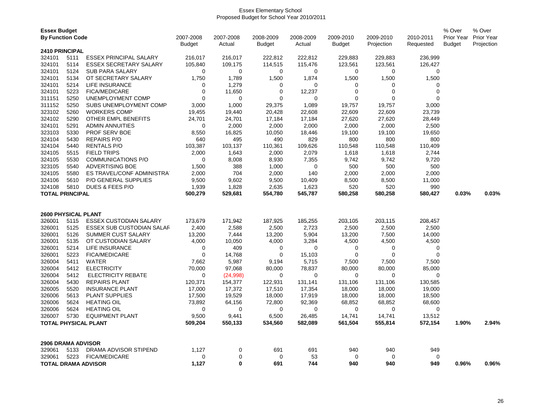| <b>Essex Budget</b><br><b>By Function Code</b> |      |                               | 2007-2008<br>Budget | 2007-2008<br>Actual | 2008-2009<br>Budget | 2008-2009<br>Actual | 2009-2010<br><b>Budget</b> | 2009-2010<br>Projection | 2010-2011<br>Requested | % Over<br>Prior Year<br>Budget | % Over<br>Prior Year<br>Projection |
|------------------------------------------------|------|-------------------------------|---------------------|---------------------|---------------------|---------------------|----------------------------|-------------------------|------------------------|--------------------------------|------------------------------------|
| <b>2410 PRINCIPAL</b>                          |      |                               |                     |                     |                     |                     |                            |                         |                        |                                |                                    |
| 324101                                         | 5111 | <b>ESSEX PRINCIPAL SALARY</b> | 216,017             | 216,017             | 222,812             | 222,812             | 229,883                    | 229,883                 | 236,999                |                                |                                    |
| 324101                                         | 5114 | ESSEX SECRETARY SALARY        | 105,840             | 109,175             | 114,515             | 115,476             | 123,561                    | 123,561                 | 126,427                |                                |                                    |
| 324101                                         | 5124 | <b>SUB PARA SALARY</b>        | $\Omega$            | 0                   | 0                   | 0                   | 0                          | 0                       | 0                      |                                |                                    |
| 324101                                         | 5134 | OT SECRETARY SALARY           | 1,750               | 1,789               | 1,500               | 1,874               | 1,500                      | 1,500                   | 1,500                  |                                |                                    |
| 324101                                         | 5214 | <b>LIFE INSURANCE</b>         | 0                   | 1,279               | 0                   | $\mathbf 0$         | 0                          | 0                       | 0                      |                                |                                    |
| 324101                                         | 5223 | <b>FICA/MEDICARE</b>          | 0                   | 11,650              | 0                   | 12,237              | 0                          | 0                       | $\mathbf 0$            |                                |                                    |
| 311151                                         | 5250 | UNEMPLOYMENT COMP             | $\Omega$            | $\mathbf 0$         | $\Omega$            | $\Omega$            | $\Omega$                   | $\Omega$                | $\Omega$               |                                |                                    |
| 311152                                         | 5250 | SUBS UNEMPLOYMENT COMP        | 3,000               | 1,000               | 29,375              | 1,089               | 19,757                     | 19,757                  | 3,000                  |                                |                                    |
| 323102                                         | 5260 | <b>WORKERS COMP</b>           | 19,455              | 19,440              | 20,428              | 22,608              | 22,609                     | 22,609                  | 23,739                 |                                |                                    |
| 324102                                         | 5290 | OTHER EMPL BENEFITS           | 24,701              | 24,701              | 17,184              | 17,184              | 27,620                     | 27,620                  | 28,449                 |                                |                                    |
| 324101                                         | 5291 | <b>ADMIN ANNUITIES</b>        | $\Omega$            | 2,000               | 2,000               | 2,000               | 2,000                      | 2,000                   | 2,500                  |                                |                                    |
| 323103                                         | 5330 | PROF SERV BOE                 | 8,550               | 16,825              | 10,050              | 18,446              | 19,100                     | 19,100                  | 19,650                 |                                |                                    |
| 324104                                         | 5430 | <b>REPAIRS P/O</b>            | 640                 | 495                 | 490                 | 829                 | 800                        | 800                     | 800                    |                                |                                    |
| 324104                                         | 5440 | <b>RENTALS P/O</b>            | 103,387             | 103,137             | 110,361             | 109,626             | 110,548                    | 110,548                 | 110,409                |                                |                                    |
| 324105                                         | 5515 | <b>FIELD TRIPS</b>            | 2,000               | 1,643               | 2,000               | 2,079               | 1,618                      | 1,618                   | 2,744                  |                                |                                    |
| 324105                                         | 5530 | <b>COMMUNICATIONS P/O</b>     | 0                   | 8,008               | 8,930               | 7,355               | 9,742                      | 9,742                   | 9,720                  |                                |                                    |
| 323105                                         | 5540 | <b>ADVERTISING BOE</b>        | 1,500               | 388                 | 1,000               | 0                   | 500                        | 500                     | 500                    |                                |                                    |
| 324105                                         | 5580 | ES TRAVEL/CONF ADMINISTRAT    | 2,000               | 704                 | 2,000               | 140                 | 2,000                      | 2,000                   | 2,000                  |                                |                                    |
| 324106                                         | 5610 | P/O GENERAL SUPPLIES          | 9,500               | 9,602               | 9,500               | 10,409              | 8,500                      | 8,500                   | 11,000                 |                                |                                    |
| 324108                                         | 5810 | DUES & FEES P/O               | 1,939               | 1,828               | 2,635               | 1,623               | 520                        | 520                     | 990                    |                                |                                    |
| <b>TOTAL PRINCIPAL</b>                         |      |                               | 500,279             | 529,681             | 554,780             | 545,787             | 580,258                    | 580,258                 | 580,427                | 0.03%                          | 0.03%                              |
| <b>2600 PHYSICAL PLANT</b>                     |      |                               |                     |                     |                     |                     |                            |                         |                        |                                |                                    |
| 326001                                         | 5115 | <b>ESSEX CUSTODIAN SALARY</b> | 173,679             | 171,942             | 187,925             | 185,255             | 203,105                    | 203,115                 | 208,457                |                                |                                    |
| 326001                                         | 5125 | ESSEX SUB CUSTODIAN SALAR     | 2,400               | 2,588               | 2,500               | 2,723               | 2,500                      | 2,500                   | 2,500                  |                                |                                    |
| 326001                                         | 5126 | SUMMER CUST SALARY            | 13,200              | 7,444               | 13,200              | 5,904               | 13,200                     | 7,500                   | 14,000                 |                                |                                    |
| 326001                                         | 5135 | OT CUSTODIAN SALARY           | 4,000               | 10,050              | 4,000               | 3,284               | 4,500                      | 4,500                   | 4,500                  |                                |                                    |
| 326001                                         | 5214 | <b>LIFE INSURANCE</b>         | 0                   | 409                 | 0                   | $\mathbf 0$         | 0                          | 0                       | $\mathbf 0$            |                                |                                    |
| 326001                                         | 5223 | <b>FICA/MEDICARE</b>          | 0                   | 14,768              | $\mathbf 0$         | 15,103              | $\mathbf 0$                | $\mathbf 0$             | $\mathbf 0$            |                                |                                    |
| 326004                                         | 5411 | WATER                         | 7,662               | 5,987               | 9,194               | 5,715               | 7,500                      | 7,500                   | 7,500                  |                                |                                    |
| 326004                                         | 5412 | <b>ELECTRICITY</b>            | 70,000              | 97,068              | 80,000              | 78,837              | 80,000                     | 80,000                  | 85,000                 |                                |                                    |
| 326004                                         | 5412 | <b>ELECTRICITY REBATE</b>     | 0                   | (24,998)            | 0                   | $\mathbf 0$         | 0                          | 0                       | 0                      |                                |                                    |
| 326004                                         | 5430 | <b>REPAIRS PLANT</b>          | 120,371             | 154,377             | 122,931             | 131,141             | 131,106                    | 131,106                 | 130,585                |                                |                                    |
| 326005                                         | 5520 | <b>INSURANCE PLANT</b>        | 17,000              | 17,372              | 17,510              | 17,354              | 18,000                     | 18,000                  | 19,000                 |                                |                                    |
| 326006                                         | 5613 | <b>PLANT SUPPLIES</b>         | 17,500              | 19,529              | 18,000              | 17,919              | 18,000                     | 18,000                  | 18,500                 |                                |                                    |
| 326006                                         | 5624 | <b>HEATING OIL</b>            | 73,892              | 64,156              | 72,800              | 92,369              | 68,852                     | 68,852                  | 68,600                 |                                |                                    |
| 326006                                         | 5624 | <b>HEATING OIL</b>            | 0                   | 0                   | 0                   | 0                   | 0                          | 0                       | 0                      |                                |                                    |
| 326007                                         | 5730 | <b>EQUIPMENT PLANT</b>        | 9,500               | 9,441               | 6,500               | 26,485              | 14,741                     | 14,741                  | 13,512                 |                                |                                    |
|                                                |      | TOTAL PHYSICAL PLANT          | 509,204             | 550,133             | 534,560             | 582,089             | 561,504                    | 555,814                 | 572,154                | 1.90%                          | 2.94%                              |
|                                                |      |                               |                     |                     |                     |                     |                            |                         |                        |                                |                                    |
| 2906 DRAMA ADVISOR                             |      |                               |                     |                     |                     |                     |                            |                         |                        |                                |                                    |
| 329061                                         | 5133 | DRAMA ADVISOR STIPEND         | 1,127               | 0                   | 691                 | 691                 | 940                        | 940                     | 949                    |                                |                                    |
| 329061                                         | 5223 | <b>FICA/MEDICARE</b>          | 0                   | 0                   | $\mathbf 0$         | 53                  | $\Omega$                   | $\mathbf 0$             | $\mathbf 0$            |                                |                                    |
|                                                |      | <b>TOTAL DRAMA ADVISOR</b>    | 1,127               | $\bf{0}$            | 691                 | 744                 | 940                        | 940                     | 949                    | 0.96%                          | 0.96%                              |